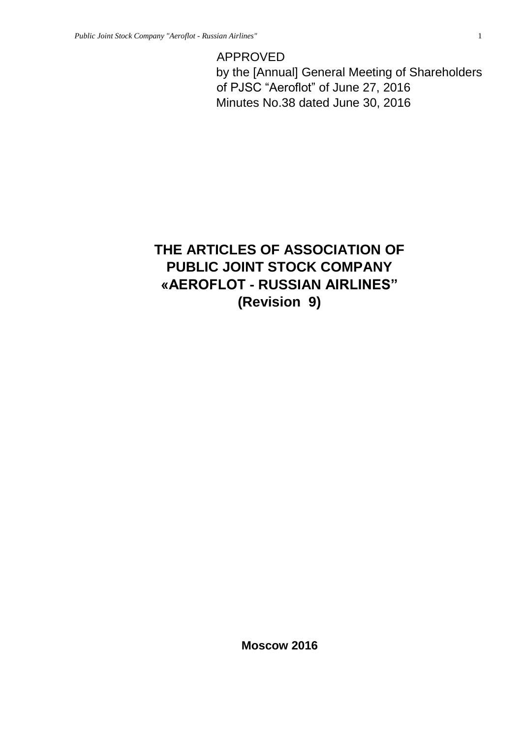APPROVED by the [Annual] General Meeting of Shareholders of PJSC "Aeroflot" of June 27, 2016 Minutes No.38 dated June 30, 2016

# **THE ARTICLES OF ASSOCIATION OF PUBLIC JOINT STOCK COMPANY «AEROFLOT - RUSSIAN AIRLINES" (Revision 9)**

**Moscow 2016**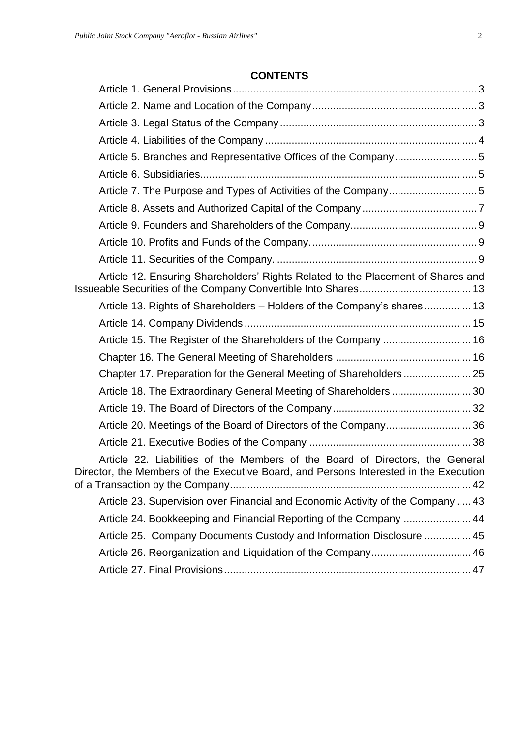# **CONTENTS**

| Article 5. Branches and Representative Offices of the Company5                                                                                                         |  |
|------------------------------------------------------------------------------------------------------------------------------------------------------------------------|--|
|                                                                                                                                                                        |  |
|                                                                                                                                                                        |  |
|                                                                                                                                                                        |  |
|                                                                                                                                                                        |  |
|                                                                                                                                                                        |  |
|                                                                                                                                                                        |  |
| Article 12. Ensuring Shareholders' Rights Related to the Placement of Shares and                                                                                       |  |
| Article 13. Rights of Shareholders - Holders of the Company's shares 13                                                                                                |  |
|                                                                                                                                                                        |  |
| Article 15. The Register of the Shareholders of the Company  16                                                                                                        |  |
|                                                                                                                                                                        |  |
|                                                                                                                                                                        |  |
| Article 18. The Extraordinary General Meeting of Shareholders30                                                                                                        |  |
|                                                                                                                                                                        |  |
| Article 20. Meetings of the Board of Directors of the Company36                                                                                                        |  |
|                                                                                                                                                                        |  |
| Article 22. Liabilities of the Members of the Board of Directors, the General<br>Director, the Members of the Executive Board, and Persons Interested in the Execution |  |
| Article 23. Supervision over Financial and Economic Activity of the Company  43                                                                                        |  |
| Article 24. Bookkeeping and Financial Reporting of the Company  44                                                                                                     |  |
| Article 25. Company Documents Custody and Information Disclosure  45                                                                                                   |  |
| Article 26. Reorganization and Liquidation of the Company 46                                                                                                           |  |
|                                                                                                                                                                        |  |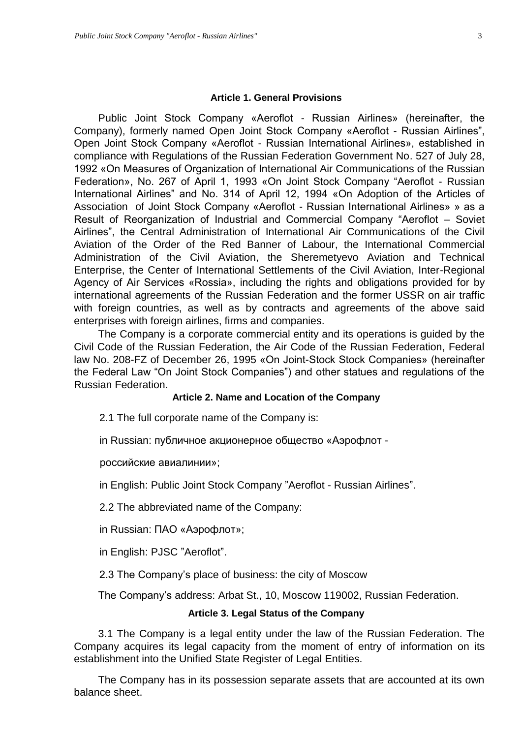#### **Article 1. General Provisions**

<span id="page-2-0"></span>Public Joint Stock Company «Aeroflot - Russian Airlines» (hereinafter, the Company), formerly named Open Joint Stock Company «Aeroflot - Russian Airlines", Open Joint Stock Company «Aeroflot - Russian International Airlines», established in compliance with Regulations of the Russian Federation Government No. 527 of July 28, 1992 «On Measures of Organization of International Air Communications of the Russian Federation», No. 267 of April 1, 1993 «On Joint Stock Company "Aeroflot - Russian International Airlines" and No. 314 of April 12, 1994 «On Adoption of the Articles of Association of Joint Stock Company «Aeroflot - Russian International Airlines» » as a Result of Reorganization of Industrial and Commercial Company "Aeroflot – Soviet Airlines", the Central Administration of International Air Communications of the Civil Aviation of the Order of the Red Banner of Labour, the International Commercial Administration of the Civil Aviation, the Sheremetyevo Aviation and Technical Enterprise, the Center of International Settlements of the Civil Aviation, Inter-Regional Agency of Air Services «Rossia», including the rights and obligations provided for by international agreements of the Russian Federation and the former USSR on air traffic with foreign countries, as well as by contracts and agreements of the above said enterprises with foreign airlines, firms and companies.

The Company is a corporate commercial entity and its operations is guided by the Civil Code of the Russian Federation, the Air Code of the Russian Federation, Federal law No. 208-FZ of December 26, 1995 «On Joint-Stock Stock Companies» (hereinafter the Federal Law "On Joint Stock Companies") and other statues and regulations of the Russian Federation.

#### **Article 2. Name and Location of the Company**

<span id="page-2-1"></span>2.1 The full corporate name of the Company is:

in Russian: публичное акционерное общество «Аэрофлот -

российские авиалинии»;

in English: Public Joint Stock Company "Aeroflot - Russian Airlines".

2.2 The abbreviated name of the Company:

in Russian: ПАО «Аэрофлот»;

in English: PJSC "Aeroflot".

2.3 The Company's place of business: the city of Moscow

The Company's address: Arbat St., 10, Moscow 119002, Russian Federation.

#### **Article 3. Legal Status of the Company**

<span id="page-2-2"></span>3.1 The Company is a legal entity under the law of the Russian Federation. The Company acquires its legal capacity from the moment of entry of information on its establishment into the Unified State Register of Legal Entities.

The Company has in its possession separate assets that are accounted at its own balance sheet.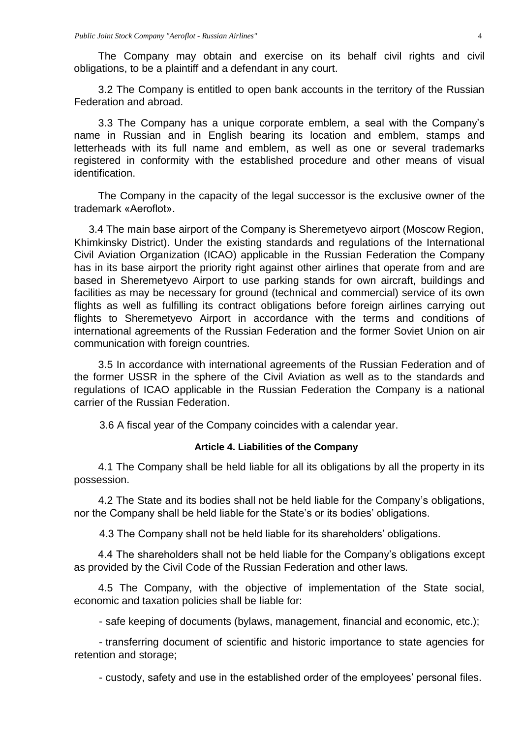The Company may obtain and exercise on its behalf civil rights and civil obligations, to be a plaintiff and a defendant in any court.

3.2 The Company is entitled to open bank accounts in the territory of the Russian Federation and abroad.

3.3 The Company has a unique corporate emblem, a seal with the Company's name in Russian and in English bearing its location and emblem, stamps and letterheads with its full name and emblem, as well as one or several trademarks registered in conformity with the established procedure and other means of visual identification.

The Company in the capacity of the legal successor is the exclusive owner of the trademark «Aeroflot».

3.4 The main base airport of the Company is Sheremetyevo airport (Moscow Region, Khimkinsky District). Under the existing standards and regulations of the International Civil Aviation Organization (ICAO) applicable in the Russian Federation the Company has in its base airport the priority right against other airlines that operate from and are based in Sheremetyevo Airport to use parking stands for own aircraft, buildings and facilities as may be necessary for ground (technical and commercial) service of its own flights as well as fulfilling its contract obligations before foreign airlines carrying out flights to Sheremetyevo Airport in accordance with the terms and conditions of international agreements of the Russian Federation and the former Soviet Union on air communication with foreign countries.

3.5 In accordance with international agreements of the Russian Federation and of the former USSR in the sphere of the Civil Aviation as well as to the standards and regulations of ICAO applicable in the Russian Federation the Company is a national carrier of the Russian Federation.

3.6 A fiscal year of the Company coincides with a calendar year.

### **Article 4. Liabilities of the Company**

<span id="page-3-0"></span>4.1 The Company shall be held liable for all its obligations by all the property in its possession.

4.2 The State and its bodies shall not be held liable for the Company's obligations, nor the Company shall be held liable for the State's or its bodies' obligations.

4.3 The Company shall not be held liable for its shareholders' obligations.

4.4 The shareholders shall not be held liable for the Company's obligations except as provided by the Civil Code of the Russian Federation and other laws*.* 

4.5 The Company, with the objective of implementation of the State social, economic and taxation policies shall be liable for:

- safe keeping of documents (bylaws, management, financial and economic, etc.);

- transferring document of scientific and historic importance to state agencies for retention and storage;

- custody, safety and use in the established order of the employees' personal files.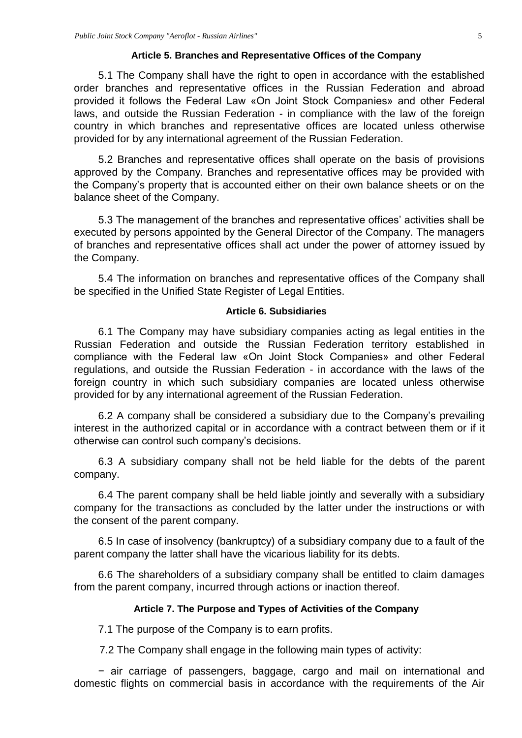#### **Article 5. Branches and Representative Offices of the Company**

<span id="page-4-0"></span>5.1 The Company shall have the right to open in accordance with the established order branches and representative offices in the Russian Federation and abroad provided it follows the Federal Law «On Joint Stock Companies» and other Federal laws, and outside the Russian Federation - in compliance with the law of the foreign country in which branches and representative offices are located unless otherwise provided for by any international agreement of the Russian Federation.

5.2 Branches and representative offices shall operate on the basis of provisions approved by the Company. Branches and representative offices may be provided with the Company's property that is accounted either on their own balance sheets or on the balance sheet of the Company.

5.3 The management of the branches and representative offices' activities shall be executed by persons appointed by the General Director of the Company. The managers of branches and representative offices shall act under the power of attorney issued by the Company.

5.4 The information on branches and representative offices of the Company shall be specified in the Unified State Register of Legal Entities.

#### **Article 6. Subsidiaries**

<span id="page-4-1"></span>6.1 The Company may have subsidiary companies acting as legal entities in the Russian Federation and outside the Russian Federation territory established in compliance with the Federal law «On Joint Stock Companies» and other Federal regulations, and outside the Russian Federation - in accordance with the laws of the foreign country in which such subsidiary companies are located unless otherwise provided for by any international agreement of the Russian Federation.

6.2 A company shall be considered a subsidiary due to the Company's prevailing interest in the authorized capital or in accordance with a contract between them or if it otherwise can control such company's decisions.

6.3 A subsidiary company shall not be held liable for the debts of the parent company.

6.4 The parent company shall be held liable jointly and severally with a subsidiary company for the transactions as concluded by the latter under the instructions or with the consent of the parent company.

6.5 In case of insolvency (bankruptcy) of a subsidiary company due to a fault of the parent company the latter shall have the vicarious liability for its debts.

6.6 The shareholders of a subsidiary company shall be entitled to claim damages from the parent company, incurred through actions or inaction thereof.

#### **Article 7. The Purpose and Types of Activities of the Company**

<span id="page-4-2"></span>7.1 The purpose of the Company is to earn profits.

7.2 The Company shall engage in the following main types of activity:

− air carriage of passengers, baggage, cargo and mail on international and domestic flights on commercial basis in accordance with the requirements of the Air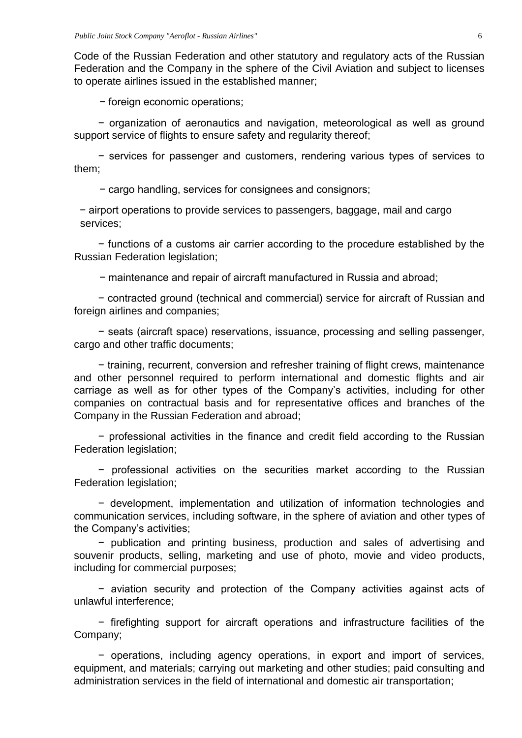Code of the Russian Federation and other statutory and regulatory acts of the Russian Federation and the Company in the sphere of the Civil Aviation and subject to licenses to operate airlines issued in the established manner;

− foreign economic operations;

− organization of aeronautics and navigation, meteorological as well as ground support service of flights to ensure safety and regularity thereof;

− services for passenger and customers, rendering various types of services to them;

− cargo handling, services for consignees and consignors;

− airport operations to provide services to passengers, baggage, mail and cargo services;

− functions of a customs air carrier according to the procedure established by the Russian Federation legislation;

− maintenance and repair of aircraft manufactured in Russia and abroad;

− contracted ground (technical and commercial) service for aircraft of Russian and foreign airlines and companies;

− seats (aircraft space) reservations, issuance, processing and selling passenger, cargo and other traffic documents;

− training, recurrent, conversion and refresher training of flight crews, maintenance and other personnel required to perform international and domestic flights and air carriage as well as for other types of the Company's activities, including for other companies on contractual basis and for representative offices and branches of the Company in the Russian Federation and abroad;

− professional activities in the finance and credit field according to the Russian Federation legislation;

− professional activities on the securities market according to the Russian Federation legislation;

− development, implementation and utilization of information technologies and communication services, including software, in the sphere of aviation and other types of the Company's activities;

− publication and printing business, production and sales of advertising and souvenir products, selling, marketing and use of photo, movie and video products, including for commercial purposes;

− aviation security and protection of the Company activities against acts of unlawful interference;

− firefighting support for aircraft operations and infrastructure facilities of the Company;

− operations, including agency operations, in export and import of services, equipment, and materials; carrying out marketing and other studies; paid consulting and administration services in the field of international and domestic air transportation;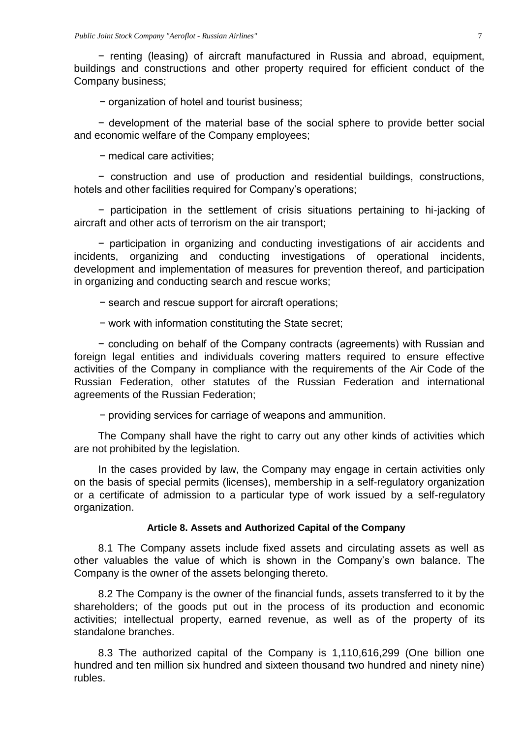− renting (leasing) of aircraft manufactured in Russia and abroad, equipment, buildings and constructions and other property required for efficient conduct of the Company business;

− organization of hotel and tourist business;

− development of the material base of the social sphere to provide better social and economic welfare of the Company employees;

− medical care activities;

− construction and use of production and residential buildings, constructions, hotels and other facilities required for Company's operations;

− participation in the settlement of crisis situations pertaining to hi-jacking of aircraft and other acts of terrorism on the air transport;

− participation in organizing and conducting investigations of air accidents and incidents, organizing and conducting investigations of operational incidents, development and implementation of measures for prevention thereof, and participation in organizing and conducting search and rescue works;

− search and rescue support for aircraft operations;

− work with information constituting the State secret;

− concluding on behalf of the Company contracts (agreements) with Russian and foreign legal entities and individuals covering matters required to ensure effective activities of the Company in compliance with the requirements of the Air Code of the Russian Federation, other statutes of the Russian Federation and international agreements of the Russian Federation;

− providing services for carriage of weapons and ammunition.

The Company shall have the right to carry out any other kinds of activities which are not prohibited by the legislation.

In the cases provided by law, the Company may engage in certain activities only on the basis of special permits (licenses), membership in a self-regulatory organization or a certificate of admission to a particular type of work issued by a self-regulatory organization.

#### **Article 8. Assets and Authorized Capital of the Company**

<span id="page-6-0"></span>8.1 The Company assets include fixed assets and circulating assets as well as other valuables the value of which is shown in the Company's own balance. The Company is the owner of the assets belonging thereto.

8.2 The Company is the owner of the financial funds, assets transferred to it by the shareholders; of the goods put out in the process of its production and economic activities; intellectual property, earned revenue, as well as of the property of its standalone branches.

8.3 The authorized capital of the Company is 1,110,616,299 (One billion one hundred and ten million six hundred and sixteen thousand two hundred and ninety nine) rubles.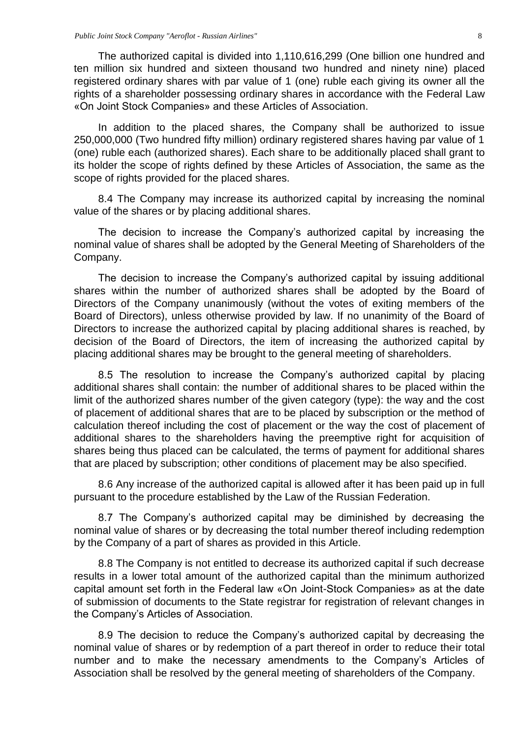The authorized capital is divided into 1,110,616,299 (One billion one hundred and ten million six hundred and sixteen thousand two hundred and ninety nine) placed registered ordinary shares with par value of 1 (one) ruble each giving its owner all the rights of a shareholder possessing ordinary shares in accordance with the Federal Law «On Joint Stock Companies» and these Articles of Association.

In addition to the placed shares, the Company shall be authorized to issue 250,000,000 (Two hundred fifty million) ordinary registered shares having par value of 1 (one) ruble each (authorized shares). Each share to be additionally placed shall grant to its holder the scope of rights defined by these Articles of Association, the same as the scope of rights provided for the placed shares.

8.4 The Company may increase its authorized capital by increasing the nominal value of the shares or by placing additional shares.

The decision to increase the Company's authorized capital by increasing the nominal value of shares shall be adopted by the General Meeting of Shareholders of the Company.

The decision to increase the Company's authorized capital by issuing additional shares within the number of authorized shares shall be adopted by the Board of Directors of the Company unanimously (without the votes of exiting members of the Board of Directors), unless otherwise provided by law. If no unanimity of the Board of Directors to increase the authorized capital by placing additional shares is reached, by decision of the Board of Directors, the item of increasing the authorized capital by placing additional shares may be brought to the general meeting of shareholders.

8.5 The resolution to increase the Company's authorized capital by placing additional shares shall contain: the number of additional shares to be placed within the limit of the authorized shares number of the given category (type): the way and the cost of placement of additional shares that are to be placed by subscription or the method of calculation thereof including the cost of placement or the way the cost of placement of additional shares to the shareholders having the preemptive right for acquisition of shares being thus placed can be calculated, the terms of payment for additional shares that are placed by subscription; other conditions of placement may be also specified.

8.6 Any increase of the authorized capital is allowed after it has been paid up in full pursuant to the procedure established by the Law of the Russian Federation.

8.7 The Company's authorized capital may be diminished by decreasing the nominal value of shares or by decreasing the total number thereof including redemption by the Company of a part of shares as provided in this Article.

8.8 The Company is not entitled to decrease its authorized capital if such decrease results in a lower total amount of the authorized capital than the minimum authorized capital amount set forth in the Federal law «On Joint-Stock Companies» as at the date of submission of documents to the State registrar for registration of relevant changes in the Company's Articles of Association.

8.9 The decision to reduce the Company's authorized capital by decreasing the nominal value of shares or by redemption of a part thereof in order to reduce their total number and to make the necessary amendments to the Company's Articles of Association shall be resolved by the general meeting of shareholders of the Company.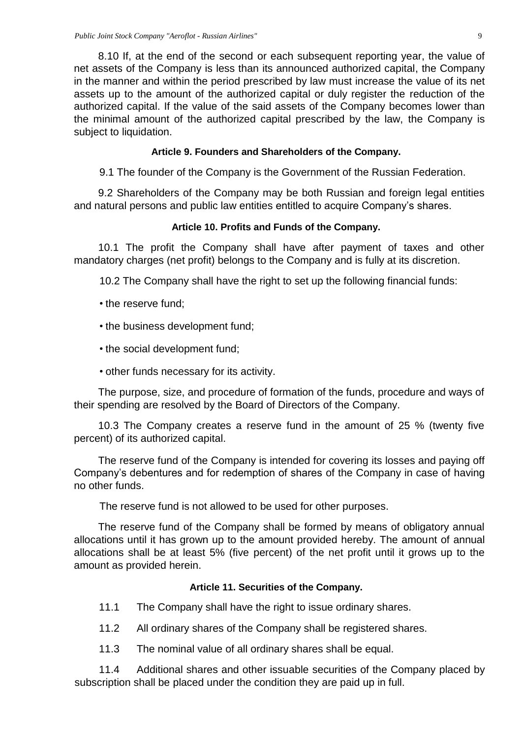8.10 If, at the end of the second or each subsequent reporting year, the value of net assets of the Company is less than its announced authorized capital, the Company in the manner and within the period prescribed by law must increase the value of its net assets up to the amount of the authorized capital or duly register the reduction of the authorized capital. If the value of the said assets of the Company becomes lower than the minimal amount of the authorized capital prescribed by the law, the Company is subject to liquidation.

### **Article 9. Founders and Shareholders of the Company.**

<span id="page-8-0"></span>9.1 The founder of the Company is the Government of the Russian Federation.

9.2 Shareholders of the Company may be both Russian and foreign legal entities and natural persons and public law entities entitled to acquire Company's shares.

### **Article 10. Profits and Funds of the Company.**

<span id="page-8-1"></span>10.1 The profit the Company shall have after payment of taxes and other mandatory charges (net profit) belongs to the Company and is fully at its discretion.

10.2 The Company shall have the right to set up the following financial funds:

- the reserve fund;
- the business development fund;
- the social development fund;
- other funds necessary for its activity.

The purpose, size, and procedure of formation of the funds, procedure and ways of their spending are resolved by the Board of Directors of the Company.

10.3 The Company creates a reserve fund in the amount of 25 % (twenty five percent) of its authorized capital.

The reserve fund of the Company is intended for covering its losses and paying off Company's debentures and for redemption of shares of the Company in case of having no other funds.

The reserve fund is not allowed to be used for other purposes.

The reserve fund of the Company shall be formed by means of obligatory annual allocations until it has grown up to the amount provided hereby. The amount of annual allocations shall be at least 5% (five percent) of the net profit until it grows up to the amount as provided herein.

### **Article 11. Securities of the Company.**

- <span id="page-8-2"></span>11.1 The Company shall have the right to issue ordinary shares.
- 11.2 All ordinary shares of the Company shall be registered shares.
- 11.3 The nominal value of all ordinary shares shall be equal.

11.4 Additional shares and other issuable securities of the Company placed by subscription shall be placed under the condition they are paid up in full.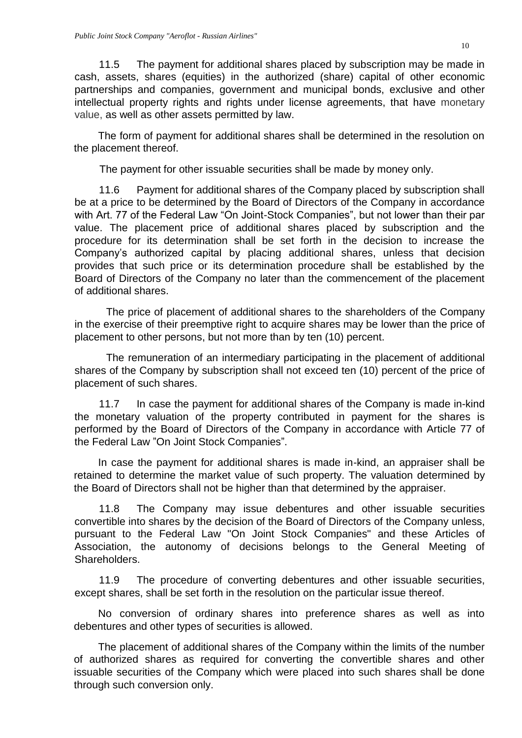11.5 The payment for additional shares placed by subscription may be made in cash, assets, shares (equities) in the authorized (share) capital of other economic partnerships and companies, government and municipal bonds, exclusive and other intellectual property rights and rights under license agreements, that have monetary value, as well as other assets permitted by law.

The form of payment for additional shares shall be determined in the resolution on the placement thereof.

The payment for other issuable securities shall be made by money only.

11.6 Payment for additional shares of the Company placed by subscription shall be at a price to be determined by the Board of Directors of the Company in accordance with Art. 77 of the Federal Law "On Joint-Stock Companies", but not lower than their par value. The placement price of additional shares placed by subscription and the procedure for its determination shall be set forth in the decision to increase the Company's authorized capital by placing additional shares, unless that decision provides that such price or its determination procedure shall be established by the Board of Directors of the Company no later than the commencement of the placement of additional shares.

The price of placement of additional shares to the shareholders of the Company in the exercise of their preemptive right to acquire shares may be lower than the price of placement to other persons, but not more than by ten (10) percent.

The remuneration of an intermediary participating in the placement of additional shares of the Company by subscription shall not exceed ten (10) percent of the price of placement of such shares.

11.7 In case the payment for additional shares of the Company is made in-kind the monetary valuation of the property contributed in payment for the shares is performed by the Board of Directors of the Company in accordance with Article 77 of the Federal Law "On Joint Stock Companies".

In case the payment for additional shares is made in-kind, an appraiser shall be retained to determine the market value of such property. The valuation determined by the Board of Directors shall not be higher than that determined by the appraiser.

11.8 The Company may issue debentures and other issuable securities convertible into shares by the decision of the Board of Directors of the Company unless, pursuant to the Federal Law "On Joint Stock Companies" and these Articles of Association, the autonomy of decisions belongs to the General Meeting of Shareholders.

11.9 The procedure of converting debentures and other issuable securities, except shares, shall be set forth in the resolution on the particular issue thereof.

No conversion of ordinary shares into preference shares as well as into debentures and other types of securities is allowed.

The placement of additional shares of the Company within the limits of the number of authorized shares as required for converting the convertible shares and other issuable securities of the Company which were placed into such shares shall be done through such conversion only.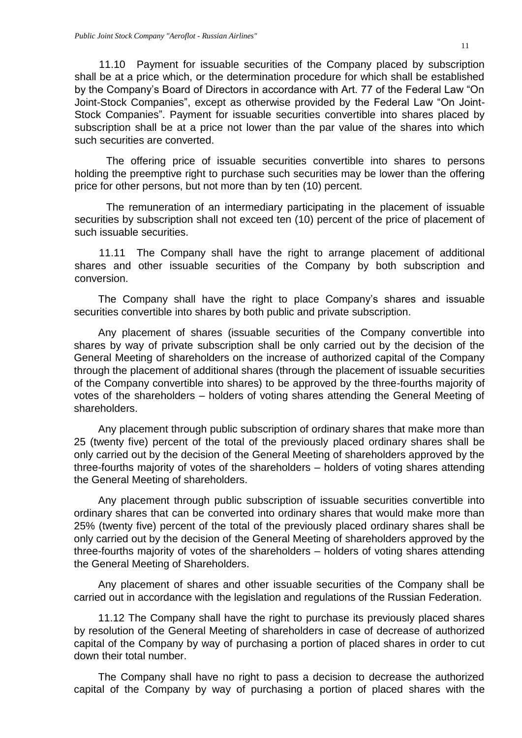11.10 Payment for issuable securities of the Company placed by subscription shall be at a price which, or the determination procedure for which shall be established by the Company's Board of Directors in accordance with Art. 77 of the Federal Law "On Joint-Stock Companies", except as otherwise provided by the Federal Law "On Joint-Stock Companies". Payment for issuable securities convertible into shares placed by subscription shall be at a price not lower than the par value of the shares into which such securities are converted.

The offering price of issuable securities convertible into shares to persons holding the preemptive right to purchase such securities may be lower than the offering price for other persons, but not more than by ten (10) percent.

The remuneration of an intermediary participating in the placement of issuable securities by subscription shall not exceed ten (10) percent of the price of placement of such issuable securities.

11.11 The Company shall have the right to arrange placement of additional shares and other issuable securities of the Company by both subscription and conversion.

The Company shall have the right to place Company's shares and issuable securities convertible into shares by both public and private subscription.

Any placement of shares (issuable securities of the Company convertible into shares by way of private subscription shall be only carried out by the decision of the General Meeting of shareholders on the increase of authorized capital of the Company through the placement of additional shares (through the placement of issuable securities of the Company convertible into shares) to be approved by the three-fourths majority of votes of the shareholders – holders of voting shares attending the General Meeting of shareholders.

Any placement through public subscription of ordinary shares that make more than 25 (twenty five) percent of the total of the previously placed ordinary shares shall be only carried out by the decision of the General Meeting of shareholders approved by the three-fourths majority of votes of the shareholders – holders of voting shares attending the General Meeting of shareholders.

Any placement through public subscription of issuable securities convertible into ordinary shares that can be converted into ordinary shares that would make more than 25% (twenty five) percent of the total of the previously placed ordinary shares shall be only carried out by the decision of the General Meeting of shareholders approved by the three-fourths majority of votes of the shareholders – holders of voting shares attending the General Meeting of Shareholders.

Any placement of shares and other issuable securities of the Company shall be carried out in accordance with the legislation and regulations of the Russian Federation.

11.12 The Company shall have the right to purchase its previously placed shares by resolution of the General Meeting of shareholders in case of decrease of authorized capital of the Company by way of purchasing a portion of placed shares in order to cut down their total number.

The Company shall have no right to pass a decision to decrease the authorized capital of the Company by way of purchasing a portion of placed shares with the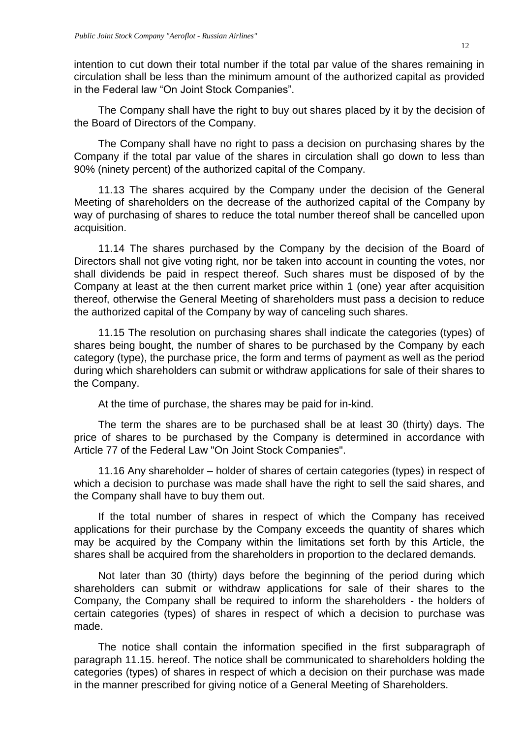intention to cut down their total number if the total par value of the shares remaining in circulation shall be less than the minimum amount of the authorized capital as provided in the Federal law "On Joint Stock Companies".

The Company shall have the right to buy out shares placed by it by the decision of the Board of Directors of the Company.

The Company shall have no right to pass a decision on purchasing shares by the Company if the total par value of the shares in circulation shall go down to less than 90% (ninety percent) of the authorized capital of the Company.

11.13 The shares acquired by the Company under the decision of the General Meeting of shareholders on the decrease of the authorized capital of the Company by way of purchasing of shares to reduce the total number thereof shall be cancelled upon acquisition.

11.14 The shares purchased by the Company by the decision of the Board of Directors shall not give voting right, nor be taken into account in counting the votes, nor shall dividends be paid in respect thereof. Such shares must be disposed of by the Company at least at the then current market price within 1 (one) year after acquisition thereof, otherwise the General Meeting of shareholders must pass a decision to reduce the authorized capital of the Company by way of canceling such shares.

11.15 The resolution on purchasing shares shall indicate the categories (types) of shares being bought, the number of shares to be purchased by the Company by each category (type), the purchase price, the form and terms of payment as well as the period during which shareholders can submit or withdraw applications for sale of their shares to the Company.

At the time of purchase, the shares may be paid for in-kind.

The term the shares are to be purchased shall be at least 30 (thirty) days. The price of shares to be purchased by the Company is determined in accordance with Article 77 of the Federal Law "On Joint Stock Companies".

11.16 Any shareholder – holder of shares of certain categories (types) in respect of which a decision to purchase was made shall have the right to sell the said shares, and the Company shall have to buy them out.

If the total number of shares in respect of which the Company has received applications for their purchase by the Company exceeds the quantity of shares which may be acquired by the Company within the limitations set forth by this Article, the shares shall be acquired from the shareholders in proportion to the declared demands.

Not later than 30 (thirty) days before the beginning of the period during which shareholders can submit or withdraw applications for sale of their shares to the Company, the Company shall be required to inform the shareholders - the holders of certain categories (types) of shares in respect of which a decision to purchase was made.

The notice shall contain the information specified in the first subparagraph of paragraph 11.15. hereof. The notice shall be communicated to shareholders holding the categories (types) of shares in respect of which a decision on their purchase was made in the manner prescribed for giving notice of a General Meeting of Shareholders.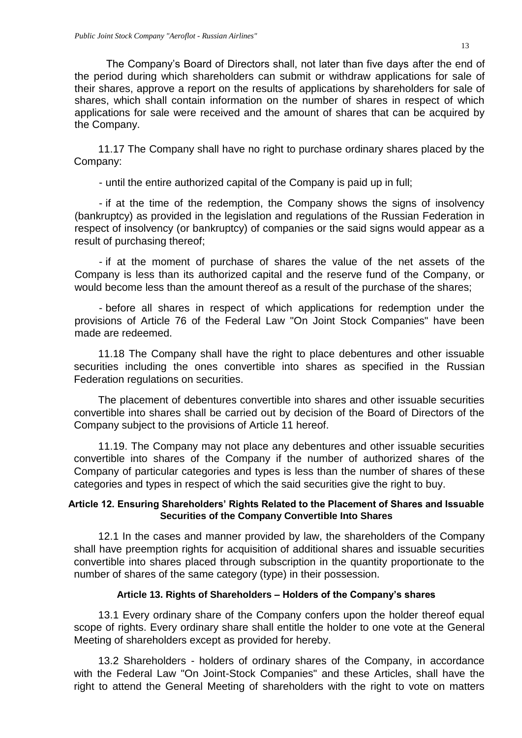The Company's Board of Directors shall, not later than five days after the end of the period during which shareholders can submit or withdraw applications for sale of their shares, approve a report on the results of applications by shareholders for sale of shares, which shall contain information on the number of shares in respect of which applications for sale were received and the amount of shares that can be acquired by the Company.

11.17 The Company shall have no right to purchase ordinary shares placed by the Company:

- until the entire authorized capital of the Company is paid up in full;

- if at the time of the redemption, the Company shows the signs of insolvency (bankruptcy) as provided in the legislation and regulations of the Russian Federation in respect of insolvency (or bankruptcy) of companies or the said signs would appear as a result of purchasing thereof;

- if at the moment of purchase of shares the value of the net assets of the Company is less than its authorized capital and the reserve fund of the Company, or would become less than the amount thereof as a result of the purchase of the shares;

- before all shares in respect of which applications for redemption under the provisions of Article 76 of the Federal Law "On Joint Stock Companies" have been made are redeemed.

11.18 The Company shall have the right to place debentures and other issuable securities including the ones convertible into shares as specified in the Russian Federation regulations on securities.

The placement of debentures convertible into shares and other issuable securities convertible into shares shall be carried out by decision of the Board of Directors of the Company subject to the provisions of Article 11 hereof.

11.19. The Company may not place any debentures and other issuable securities convertible into shares of the Company if the number of authorized shares of the Company of particular categories and types is less than the number of shares of these categories and types in respect of which the said securities give the right to buy.

### <span id="page-12-0"></span>**Article 12. Ensuring Shareholders' Rights Related to the Placement of Shares and Issuable Securities of the Company Convertible Into Shares**

12.1 In the cases and manner provided by law, the shareholders of the Company shall have preemption rights for acquisition of additional shares and issuable securities convertible into shares placed through subscription in the quantity proportionate to the number of shares of the same category (type) in their possession.

# **Article 13. Rights of Shareholders – Holders of the Company's shares**

<span id="page-12-1"></span>13.1 Every ordinary share of the Company confers upon the holder thereof equal scope of rights. Every ordinary share shall entitle the holder to one vote at the General Meeting of shareholders except as provided for hereby.

13.2 Shareholders - holders of ordinary shares of the Company, in accordance with the Federal Law "On Joint-Stock Companies" and these Articles, shall have the right to attend the General Meeting of shareholders with the right to vote on matters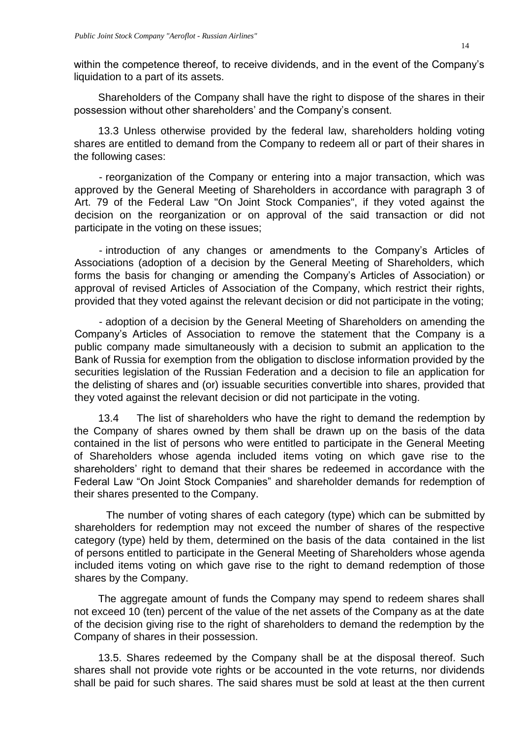within the competence thereof, to receive dividends, and in the event of the Company's liquidation to a part of its assets.

Shareholders of the Company shall have the right to dispose of the shares in their possession without other shareholders' and the Company's consent.

13.3 Unless otherwise provided by the federal law, shareholders holding voting shares are entitled to demand from the Company to redeem all or part of their shares in the following cases:

- reorganization of the Company or entering into a major transaction, which was approved by the General Meeting of Shareholders in accordance with paragraph 3 of Art. 79 of the Federal Law "On Joint Stock Companies", if they voted against the decision on the reorganization or on approval of the said transaction or did not participate in the voting on these issues;

- introduction of any changes or amendments to the Company's Articles of Associations (adoption of a decision by the General Meeting of Shareholders, which forms the basis for changing or amending the Company's Articles of Association) or approval of revised Articles of Association of the Company, which restrict their rights, provided that they voted against the relevant decision or did not participate in the voting;

- adoption of a decision by the General Meeting of Shareholders on amending the Company's Articles of Association to remove the statement that the Company is a public company made simultaneously with a decision to submit an application to the Bank of Russia for exemption from the obligation to disclose information provided by the securities legislation of the Russian Federation and a decision to file an application for the delisting of shares and (or) issuable securities convertible into shares, provided that they voted against the relevant decision or did not participate in the voting.

13.4 The list of shareholders who have the right to demand the redemption by the Company of shares owned by them shall be drawn up on the basis of the data contained in the list of persons who were entitled to participate in the General Meeting of Shareholders whose agenda included items voting on which gave rise to the shareholders' right to demand that their shares be redeemed in accordance with the Federal Law "On Joint Stock Companies" and shareholder demands for redemption of their shares presented to the Company.

The number of voting shares of each category (type) which can be submitted by shareholders for redemption may not exceed the number of shares of the respective category (type) held by them, determined on the basis of the data contained in the list of persons entitled to participate in the General Meeting of Shareholders whose agenda included items voting on which gave rise to the right to demand redemption of those shares by the Company.

The aggregate amount of funds the Company may spend to redeem shares shall not exceed 10 (ten) percent of the value of the net assets of the Company as at the date of the decision giving rise to the right of shareholders to demand the redemption by the Company of shares in their possession.

13.5. Shares redeemed by the Company shall be at the disposal thereof. Such shares shall not provide vote rights or be accounted in the vote returns, nor dividends shall be paid for such shares. The said shares must be sold at least at the then current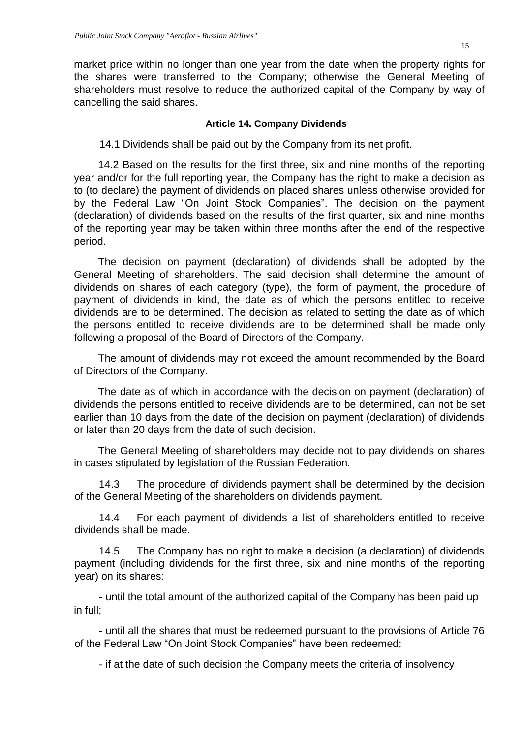market price within no longer than one year from the date when the property rights for the shares were transferred to the Company; otherwise the General Meeting of shareholders must resolve to reduce the authorized capital of the Company by way of cancelling the said shares.

# **Article 14. Company Dividends**

<span id="page-14-0"></span>14.1 Dividends shall be paid out by the Company from its net profit.

14.2 Based on the results for the first three, six and nine months of the reporting year and/or for the full reporting year, the Company has the right to make a decision as to (to declare) the payment of dividends on placed shares unless otherwise provided for by the Federal Law "On Joint Stock Companies". The decision on the payment (declaration) of dividends based on the results of the first quarter, six and nine months of the reporting year may be taken within three months after the end of the respective period.

The decision on payment (declaration) of dividends shall be adopted by the General Meeting of shareholders. The said decision shall determine the amount of dividends on shares of each category (type), the form of payment, the procedure of payment of dividends in kind, the date as of which the persons entitled to receive dividends are to be determined. The decision as related to setting the date as of which the persons entitled to receive dividends are to be determined shall be made only following a proposal of the Board of Directors of the Company.

The amount of dividends may not exceed the amount recommended by the Board of Directors of the Company.

The date as of which in accordance with the decision on payment (declaration) of dividends the persons entitled to receive dividends are to be determined, can not be set earlier than 10 days from the date of the decision on payment (declaration) of dividends or later than 20 days from the date of such decision.

The General Meeting of shareholders may decide not to pay dividends on shares in cases stipulated by legislation of the Russian Federation.

14.3 The procedure of dividends payment shall be determined by the decision of the General Meeting of the shareholders on dividends payment.

14.4 For each payment of dividends a list of shareholders entitled to receive dividends shall be made.

14.5 The Company has no right to make a decision (a declaration) of dividends payment (including dividends for the first three, six and nine months of the reporting year) on its shares:

- until the total amount of the authorized capital of the Company has been paid up in full;

- until all the shares that must be redeemed pursuant to the provisions of Article 76 of the Federal Law "On Joint Stock Companies" have been redeemed;

- if at the date of such decision the Company meets the criteria of insolvency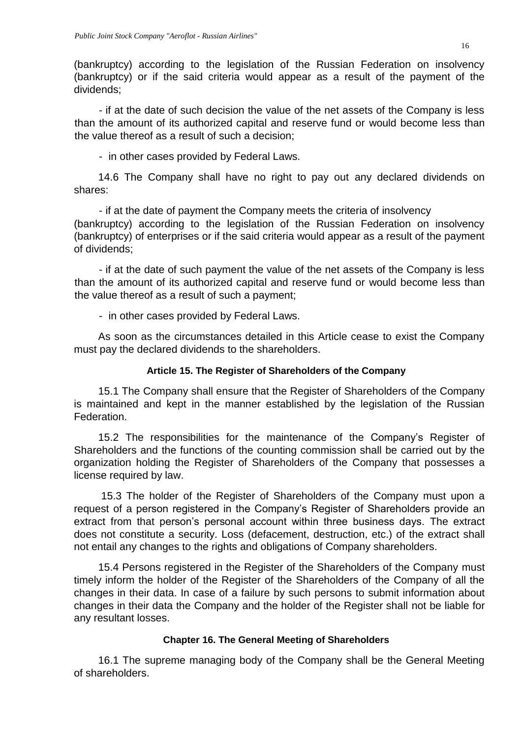(bankruptcy) according to the legislation of the Russian Federation on insolvency (bankruptcy) or if the said criteria would appear as a result of the payment of the dividends;

- if at the date of such decision the value of the net assets of the Company is less than the amount of its authorized capital and reserve fund or would become less than the value thereof as a result of such a decision;

- in other cases provided by Federal Laws.

14.6 The Company shall have no right to pay out any declared dividends on shares:

- if at the date of payment the Company meets the criteria of insolvency (bankruptcy) according to the legislation of the Russian Federation on insolvency (bankruptcy) of enterprises or if the said criteria would appear as a result of the payment of dividends;

- if at the date of such payment the value of the net assets of the Company is less than the amount of its authorized capital and reserve fund or would become less than the value thereof as a result of such a payment;

- in other cases provided by Federal Laws.

As soon as the circumstances detailed in this Article cease to exist the Company must pay the declared dividends to the shareholders.

# **Article 15. The Register of Shareholders of the Company**

<span id="page-15-0"></span>15.1 The Company shall ensure that the Register of Shareholders of the Company is maintained and kept in the manner established by the legislation of the Russian Federation.

15.2 The responsibilities for the maintenance of the Company's Register of Shareholders and the functions of the counting commission shall be carried out by the organization holding the Register of Shareholders of the Company that possesses a license required by law.

15.3 The holder of the Register of Shareholders of the Company must upon a request of a person registered in the Company's Register of Shareholders provide an extract from that person's personal account within three business days. The extract does not constitute a security. Loss (defacement, destruction, etc.) of the extract shall not entail any changes to the rights and obligations of Company shareholders.

15.4 Persons registered in the Register of the Shareholders of the Company must timely inform the holder of the Register of the Shareholders of the Company of all the changes in their data. In case of a failure by such persons to submit information about changes in their data the Company and the holder of the Register shall not be liable for any resultant losses.

# **Chapter 16. The General Meeting of Shareholders**

<span id="page-15-1"></span>16.1 The supreme managing body of the Company shall be the General Meeting of shareholders.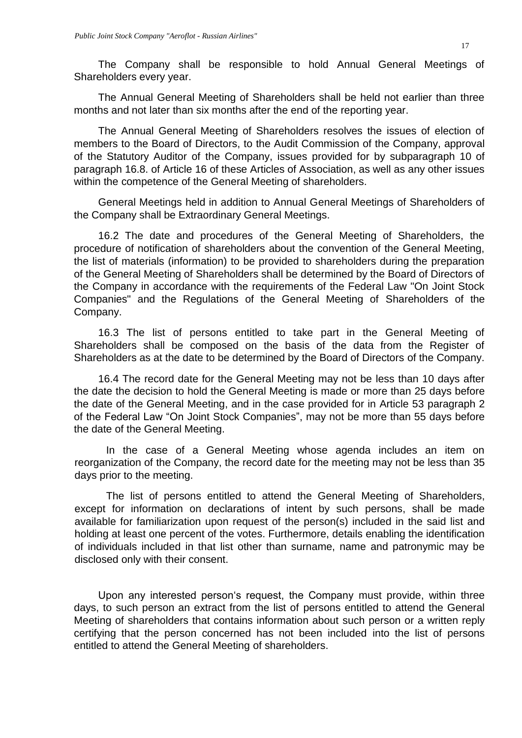The Company shall be responsible to hold Annual General Meetings of Shareholders every year.

The Annual General Meeting of Shareholders shall be held not earlier than three months and not later than six months after the end of the reporting year.

The Annual General Meeting of Shareholders resolves the issues of election of members to the Board of Directors, to the Audit Commission of the Company, approval of the Statutory Auditor of the Company, issues provided for by subparagraph 10 of paragraph 16.8. of Article 16 of these Articles of Association, as well as any other issues within the competence of the General Meeting of shareholders.

General Meetings held in addition to Annual General Meetings of Shareholders of the Company shall be Extraordinary General Meetings.

16.2 The date and procedures of the General Meeting of Shareholders, the procedure of notification of shareholders about the convention of the General Meeting, the list of materials (information) to be provided to shareholders during the preparation of the General Meeting of Shareholders shall be determined by the Board of Directors of the Company in accordance with the requirements of the Federal Law "On Joint Stock Companies" and the Regulations of the General Meeting of Shareholders of the Company.

16.3 The list of persons entitled to take part in the General Meeting of Shareholders shall be composed on the basis of the data from the Register of Shareholders as at the date to be determined by the Board of Directors of the Company.

16.4 The record date for the General Meeting may not be less than 10 days after the date the decision to hold the General Meeting is made or more than 25 days before the date of the General Meeting, and in the case provided for in Article 53 paragraph 2 of the Federal Law "On Joint Stock Companies", may not be more than 55 days before the date of the General Meeting.

In the case of a General Meeting whose agenda includes an item on reorganization of the Company, the record date for the meeting may not be less than 35 days prior to the meeting.

The list of persons entitled to attend the General Meeting of Shareholders, except for information on declarations of intent by such persons, shall be made available for familiarization upon request of the person(s) included in the said list and holding at least one percent of the votes. Furthermore, details enabling the identification of individuals included in that list other than surname, name and patronymic may be disclosed only with their consent.

Upon any interested person's request, the Company must provide, within three days, to such person an extract from the list of persons entitled to attend the General Meeting of shareholders that contains information about such person or a written reply certifying that the person concerned has not been included into the list of persons entitled to attend the General Meeting of shareholders.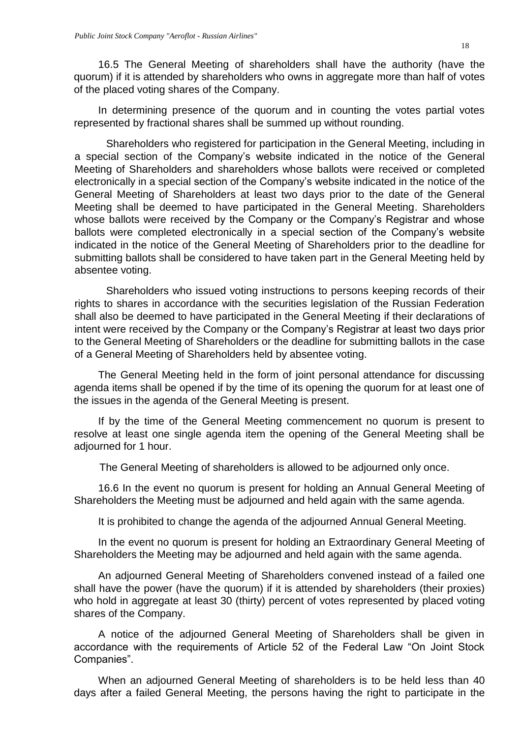16.5 The General Meeting of shareholders shall have the authority (have the quorum) if it is attended by shareholders who owns in aggregate more than half of votes of the placed voting shares of the Company.

In determining presence of the quorum and in counting the votes partial votes represented by fractional shares shall be summed up without rounding.

Shareholders who registered for participation in the General Meeting, including in a special section of the Company's website indicated in the notice of the General Meeting of Shareholders and shareholders whose ballots were received or completed electronically in a special section of the Company's website indicated in the notice of the General Meeting of Shareholders at least two days prior to the date of the General Meeting shall be deemed to have participated in the General Meeting. Shareholders whose ballots were received by the Company or the Company's Registrar and whose ballots were completed electronically in a special section of the Company's website indicated in the notice of the General Meeting of Shareholders prior to the deadline for submitting ballots shall be considered to have taken part in the General Meeting held by absentee voting.

Shareholders who issued voting instructions to persons keeping records of their rights to shares in accordance with the securities legislation of the Russian Federation shall also be deemed to have participated in the General Meeting if their declarations of intent were received by the Company or the Company's Registrar at least two days prior to the General Meeting of Shareholders or the deadline for submitting ballots in the case of a General Meeting of Shareholders held by absentee voting.

The General Meeting held in the form of joint personal attendance for discussing agenda items shall be opened if by the time of its opening the quorum for at least one of the issues in the agenda of the General Meeting is present.

If by the time of the General Meeting commencement no quorum is present to resolve at least one single agenda item the opening of the General Meeting shall be adjourned for 1 hour.

The General Meeting of shareholders is allowed to be adjourned only once.

16.6 In the event no quorum is present for holding an Annual General Meeting of Shareholders the Meeting must be adjourned and held again with the same agenda.

It is prohibited to change the agenda of the adjourned Annual General Meeting.

In the event no quorum is present for holding an Extraordinary General Meeting of Shareholders the Meeting may be adjourned and held again with the same agenda.

An adjourned General Meeting of Shareholders convened instead of a failed one shall have the power (have the quorum) if it is attended by shareholders (their proxies) who hold in aggregate at least 30 (thirty) percent of votes represented by placed voting shares of the Company.

A notice of the adjourned General Meeting of Shareholders shall be given in accordance with the requirements of Article 52 of the Federal Law "On Joint Stock Companies".

When an adjourned General Meeting of shareholders is to be held less than 40 days after a failed General Meeting, the persons having the right to participate in the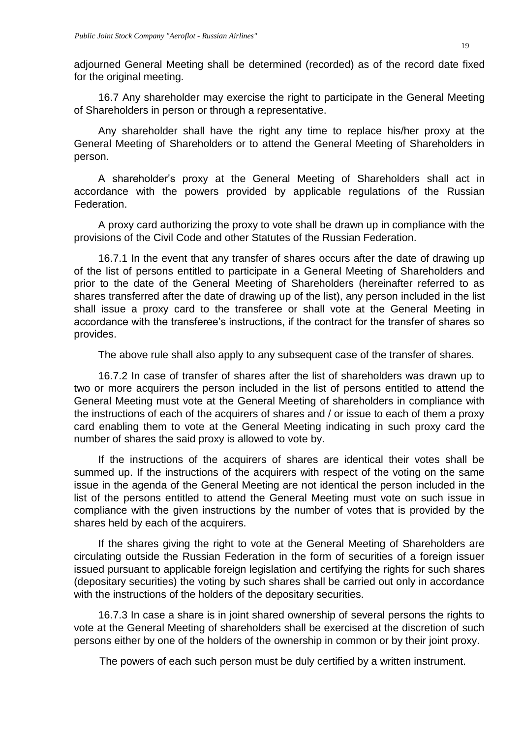adjourned General Meeting shall be determined (recorded) as of the record date fixed for the original meeting.

16.7 Any shareholder may exercise the right to participate in the General Meeting of Shareholders in person or through a representative.

Any shareholder shall have the right any time to replace his/her proxy at the General Meeting of Shareholders or to attend the General Meeting of Shareholders in person.

A shareholder's proxy at the General Meeting of Shareholders shall act in accordance with the powers provided by applicable regulations of the Russian Federation.

A proxy card authorizing the proxy to vote shall be drawn up in compliance with the provisions of the Civil Code and other Statutes of the Russian Federation.

16.7.1 In the event that any transfer of shares occurs after the date of drawing up of the list of persons entitled to participate in a General Meeting of Shareholders and prior to the date of the General Meeting of Shareholders (hereinafter referred to as shares transferred after the date of drawing up of the list), any person included in the list shall issue a proxy card to the transferee or shall vote at the General Meeting in accordance with the transferee's instructions, if the contract for the transfer of shares so provides.

The above rule shall also apply to any subsequent case of the transfer of shares.

16.7.2 In case of transfer of shares after the list of shareholders was drawn up to two or more acquirers the person included in the list of persons entitled to attend the General Meeting must vote at the General Meeting of shareholders in compliance with the instructions of each of the acquirers of shares and / or issue to each of them a proxy card enabling them to vote at the General Meeting indicating in such proxy card the number of shares the said proxy is allowed to vote by.

If the instructions of the acquirers of shares are identical their votes shall be summed up. If the instructions of the acquirers with respect of the voting on the same issue in the agenda of the General Meeting are not identical the person included in the list of the persons entitled to attend the General Meeting must vote on such issue in compliance with the given instructions by the number of votes that is provided by the shares held by each of the acquirers.

If the shares giving the right to vote at the General Meeting of Shareholders are circulating outside the Russian Federation in the form of securities of a foreign issuer issued pursuant to applicable foreign legislation and certifying the rights for such shares (depositary securities) the voting by such shares shall be carried out only in accordance with the instructions of the holders of the depositary securities.

16.7.3 In case a share is in joint shared ownership of several persons the rights to vote at the General Meeting of shareholders shall be exercised at the discretion of such persons either by one of the holders of the ownership in common or by their joint proxy.

The powers of each such person must be duly certified by a written instrument.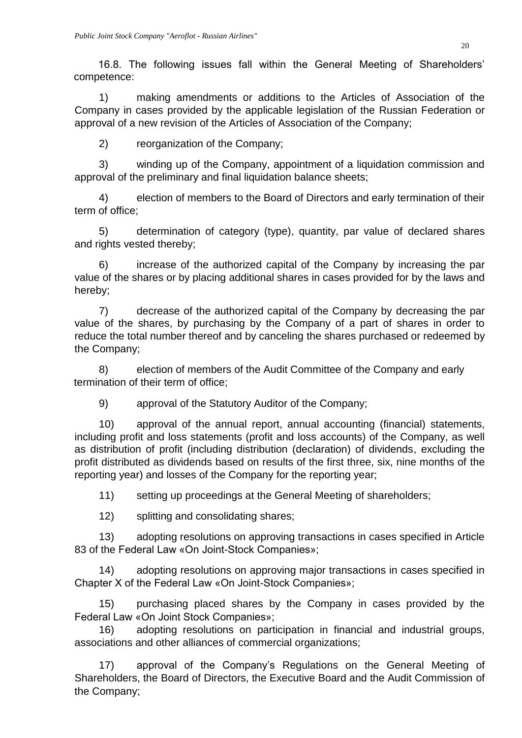16.8. The following issues fall within the General Meeting of Shareholders' competence:

1) making amendments or additions to the Articles of Association of the Company in cases provided by the applicable legislation of the Russian Federation or approval of a new revision of the Articles of Association of the Company;

2) reorganization of the Company;

3) winding up of the Company, appointment of a liquidation commission and approval of the preliminary and final liquidation balance sheets;

4) election of members to the Board of Directors and early termination of their term of office;

5) determination of category (type), quantity, par value of declared shares and rights vested thereby;

6) increase of the authorized capital of the Company by increasing the par value of the shares or by placing additional shares in cases provided for by the laws and hereby;

7) decrease of the authorized capital of the Company by decreasing the par value of the shares, by purchasing by the Company of a part of shares in order to reduce the total number thereof and by canceling the shares purchased or redeemed by the Company;

8) election of members of the Audit Committee of the Company and early termination of their term of office;

9) approval of the Statutory Auditor of the Company;

10) approval of the annual report, annual accounting (financial) statements, including profit and loss statements (profit and loss accounts) of the Company, as well as distribution of profit (including distribution (declaration) of dividends, excluding the profit distributed as dividends based on results of the first three, six, nine months of the reporting year) and losses of the Company for the reporting year;

11) setting up proceedings at the General Meeting of shareholders;

12) splitting and consolidating shares;

13) adopting resolutions on approving transactions in cases specified in Article 83 of the Federal Law «On Joint-Stock Companies»;

14) adopting resolutions on approving major transactions in cases specified in Chapter X of the Federal Law «On Joint-Stock Companies»;

15) purchasing placed shares by the Company in cases provided by the Federal Law «On Joint Stock Companies»;

16) adopting resolutions on participation in financial and industrial groups, associations and other alliances of commercial organizations;

17) approval of the Company's Regulations on the General Meeting of Shareholders, the Board of Directors, the Executive Board and the Audit Commission of the Company;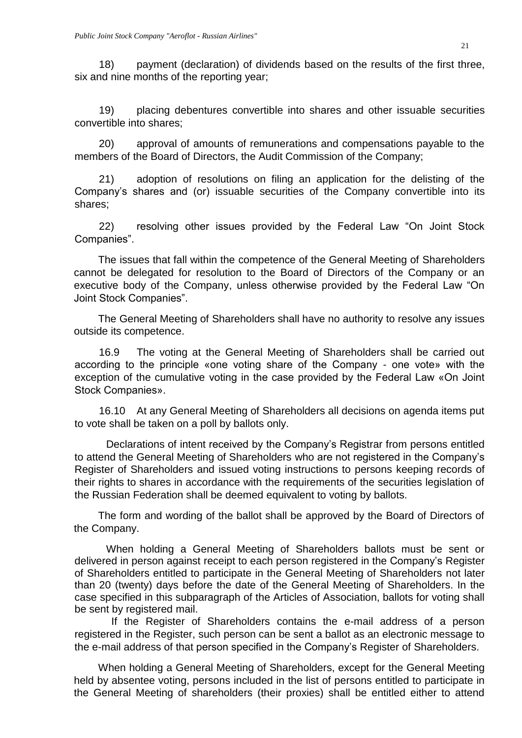18) payment (declaration) of dividends based on the results of the first three, six and nine months of the reporting year;

19) placing debentures convertible into shares and other issuable securities convertible into shares;

20) approval of amounts of remunerations and compensations payable to the members of the Board of Directors, the Audit Commission of the Company;

21) adoption of resolutions on filing an application for the delisting of the Company's shares and (or) issuable securities of the Company convertible into its shares;

22) resolving other issues provided by the Federal Law "On Joint Stock Companies".

The issues that fall within the competence of the General Meeting of Shareholders cannot be delegated for resolution to the Board of Directors of the Company or an executive body of the Company, unless otherwise provided by the Federal Law "On Joint Stock Companies".

The General Meeting of Shareholders shall have no authority to resolve any issues outside its competence.

16.9 The voting at the General Meeting of Shareholders shall be carried out according to the principle «one voting share of the Company - one vote» with the exception of the cumulative voting in the case provided by the Federal Law «On Joint Stock Companies».

16.10 At any General Meeting of Shareholders all decisions on agenda items put to vote shall be taken on a poll by ballots only.

Declarations of intent received by the Company's Registrar from persons entitled to attend the General Meeting of Shareholders who are not registered in the Company's Register of Shareholders and issued voting instructions to persons keeping records of their rights to shares in accordance with the requirements of the securities legislation of the Russian Federation shall be deemed equivalent to voting by ballots.

The form and wording of the ballot shall be approved by the Board of Directors of the Company.

When holding a General Meeting of Shareholders ballots must be sent or delivered in person against receipt to each person registered in the Company's Register of Shareholders entitled to participate in the General Meeting of Shareholders not later than 20 (twenty) days before the date of the General Meeting of Shareholders. In the case specified in this subparagraph of the Articles of Association, ballots for voting shall be sent by registered mail.

If the Register of Shareholders contains the e-mail address of a person registered in the Register, such person can be sent a ballot as an electronic message to the e-mail address of that person specified in the Company's Register of Shareholders.

When holding a General Meeting of Shareholders, except for the General Meeting held by absentee voting, persons included in the list of persons entitled to participate in the General Meeting of shareholders (their proxies) shall be entitled either to attend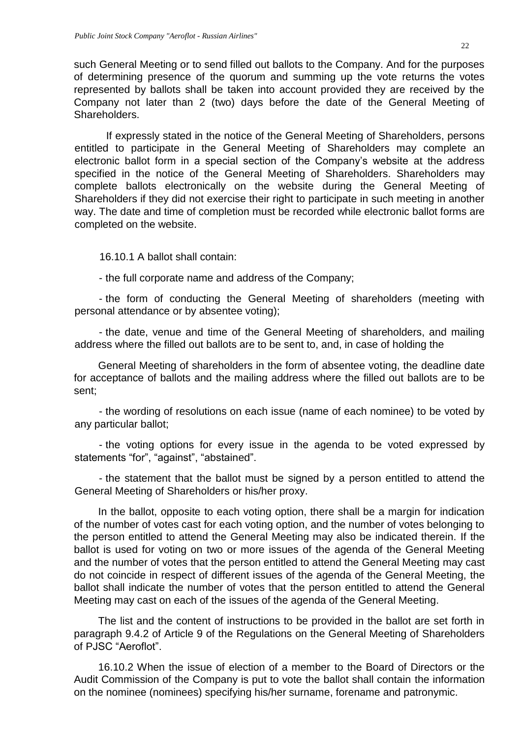such General Meeting or to send filled out ballots to the Company. And for the purposes of determining presence of the quorum and summing up the vote returns the votes represented by ballots shall be taken into account provided they are received by the Company not later than 2 (two) days before the date of the General Meeting of **Shareholders** 

If expressly stated in the notice of the General Meeting of Shareholders, persons entitled to participate in the General Meeting of Shareholders may complete an electronic ballot form in a special section of the Company's website at the address specified in the notice of the General Meeting of Shareholders. Shareholders may complete ballots electronically on the website during the General Meeting of Shareholders if they did not exercise their right to participate in such meeting in another way. The date and time of completion must be recorded while electronic ballot forms are completed on the website.

16.10.1 A ballot shall contain:

- the full corporate name and address of the Company;

- the form of conducting the General Meeting of shareholders (meeting with personal attendance or by absentee voting);

- the date, venue and time of the General Meeting of shareholders, and mailing address where the filled out ballots are to be sent to, and, in case of holding the

General Meeting of shareholders in the form of absentee voting, the deadline date for acceptance of ballots and the mailing address where the filled out ballots are to be sent;

- the wording of resolutions on each issue (name of each nominee) to be voted by any particular ballot;

- the voting options for every issue in the agenda to be voted expressed by statements "for", "against", "abstained".

- the statement that the ballot must be signed by a person entitled to attend the General Meeting of Shareholders or his/her proxy.

In the ballot, opposite to each voting option, there shall be a margin for indication of the number of votes cast for each voting option, and the number of votes belonging to the person entitled to attend the General Meeting may also be indicated therein. If the ballot is used for voting on two or more issues of the agenda of the General Meeting and the number of votes that the person entitled to attend the General Meeting may cast do not coincide in respect of different issues of the agenda of the General Meeting, the ballot shall indicate the number of votes that the person entitled to attend the General Meeting may cast on each of the issues of the agenda of the General Meeting.

The list and the content of instructions to be provided in the ballot are set forth in paragraph 9.4.2 of Article 9 of the Regulations on the General Meeting of Shareholders of PJSC "Aeroflot".

16.10.2 When the issue of election of a member to the Board of Directors or the Audit Commission of the Company is put to vote the ballot shall contain the information on the nominee (nominees) specifying his/her surname, forename and patronymic.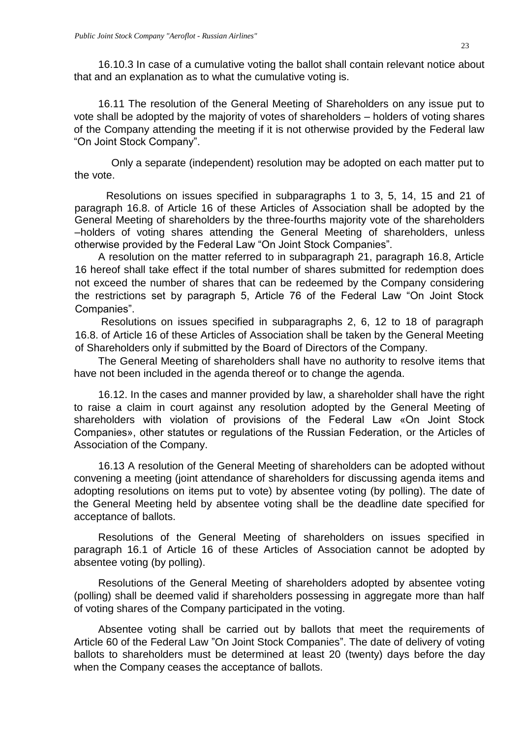16.10.3 In case of a cumulative voting the ballot shall contain relevant notice about that and an explanation as to what the cumulative voting is.

16.11 The resolution of the General Meeting of Shareholders on any issue put to vote shall be adopted by the majority of votes of shareholders – holders of voting shares of the Company attending the meeting if it is not otherwise provided by the Federal law "On Joint Stock Company".

Only a separate (independent) resolution may be adopted on each matter put to the vote.

Resolutions on issues specified in subparagraphs 1 to 3, 5, 14, 15 and 21 of paragraph 16.8. of Article 16 of these Articles of Association shall be adopted by the General Meeting of shareholders by the three-fourths majority vote of the shareholders –holders of voting shares attending the General Meeting of shareholders, unless otherwise provided by the Federal Law "On Joint Stock Companies".

A resolution on the matter referred to in subparagraph 21, paragraph 16.8, Article 16 hereof shall take effect if the total number of shares submitted for redemption does not exceed the number of shares that can be redeemed by the Company considering the restrictions set by paragraph 5, Article 76 of the Federal Law "On Joint Stock Companies".

Resolutions on issues specified in subparagraphs 2, 6, 12 to 18 of paragraph 16.8. of Article 16 of these Articles of Association shall be taken by the General Meeting of Shareholders only if submitted by the Board of Directors of the Company.

The General Meeting of shareholders shall have no authority to resolve items that have not been included in the agenda thereof or to change the agenda.

16.12. In the cases and manner provided by law, a shareholder shall have the right to raise a claim in court against any resolution adopted by the General Meeting of shareholders with violation of provisions of the Federal Law «On Joint Stock Companies», other statutes or regulations of the Russian Federation, or the Articles of Association of the Company.

16.13 A resolution of the General Meeting of shareholders can be adopted without convening a meeting (joint attendance of shareholders for discussing agenda items and adopting resolutions on items put to vote) by absentee voting (by polling). The date of the General Meeting held by absentee voting shall be the deadline date specified for acceptance of ballots.

Resolutions of the General Meeting of shareholders on issues specified in paragraph 16.1 of Article 16 of these Articles of Association cannot be adopted by absentee voting (by polling).

Resolutions of the General Meeting of shareholders adopted by absentee voting (polling) shall be deemed valid if shareholders possessing in aggregate more than half of voting shares of the Company participated in the voting.

Absentee voting shall be carried out by ballots that meet the requirements of Article 60 of the Federal Law "On Joint Stock Companies". The date of delivery of voting ballots to shareholders must be determined at least 20 (twenty) days before the day when the Company ceases the acceptance of ballots.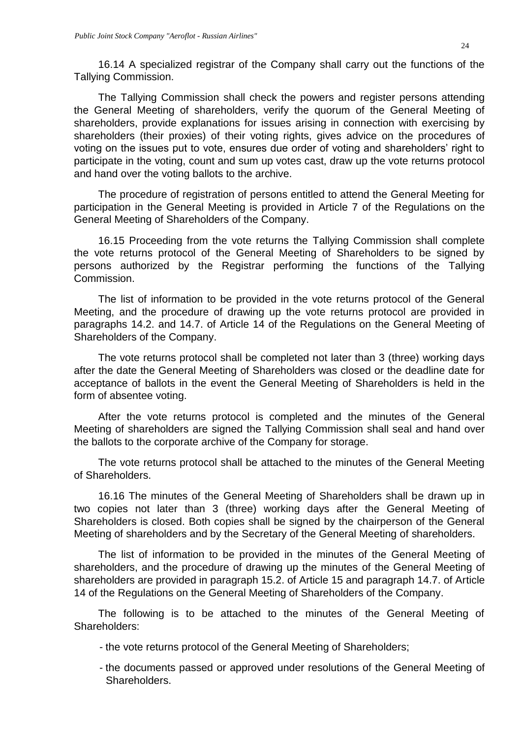16.14 A specialized registrar of the Company shall carry out the functions of the Tallying Commission.

The Tallying Commission shall check the powers and register persons attending the General Meeting of shareholders, verify the quorum of the General Meeting of shareholders, provide explanations for issues arising in connection with exercising by shareholders (their proxies) of their voting rights, gives advice on the procedures of voting on the issues put to vote, ensures due order of voting and shareholders' right to participate in the voting, count and sum up votes cast, draw up the vote returns protocol and hand over the voting ballots to the archive.

The procedure of registration of persons entitled to attend the General Meeting for participation in the General Meeting is provided in Article 7 of the Regulations on the General Meeting of Shareholders of the Company.

16.15 Proceeding from the vote returns the Tallying Commission shall complete the vote returns protocol of the General Meeting of Shareholders to be signed by persons authorized by the Registrar performing the functions of the Tallying Commission.

The list of information to be provided in the vote returns protocol of the General Meeting, and the procedure of drawing up the vote returns protocol are provided in paragraphs 14.2. and 14.7. of Article 14 of the Regulations on the General Meeting of Shareholders of the Company.

The vote returns protocol shall be completed not later than 3 (three) working days after the date the General Meeting of Shareholders was closed or the deadline date for acceptance of ballots in the event the General Meeting of Shareholders is held in the form of absentee voting.

After the vote returns protocol is completed and the minutes of the General Meeting of shareholders are signed the Tallying Commission shall seal and hand over the ballots to the corporate archive of the Company for storage.

The vote returns protocol shall be attached to the minutes of the General Meeting of Shareholders.

16.16 The minutes of the General Meeting of Shareholders shall be drawn up in two copies not later than 3 (three) working days after the General Meeting of Shareholders is closed. Both copies shall be signed by the chairperson of the General Meeting of shareholders and by the Secretary of the General Meeting of shareholders.

The list of information to be provided in the minutes of the General Meeting of shareholders, and the procedure of drawing up the minutes of the General Meeting of shareholders are provided in paragraph 15.2. of Article 15 and paragraph 14.7. of Article 14 of the Regulations on the General Meeting of Shareholders of the Company.

The following is to be attached to the minutes of the General Meeting of Shareholders:

- the vote returns protocol of the General Meeting of Shareholders;
- the documents passed or approved under resolutions of the General Meeting of Shareholders.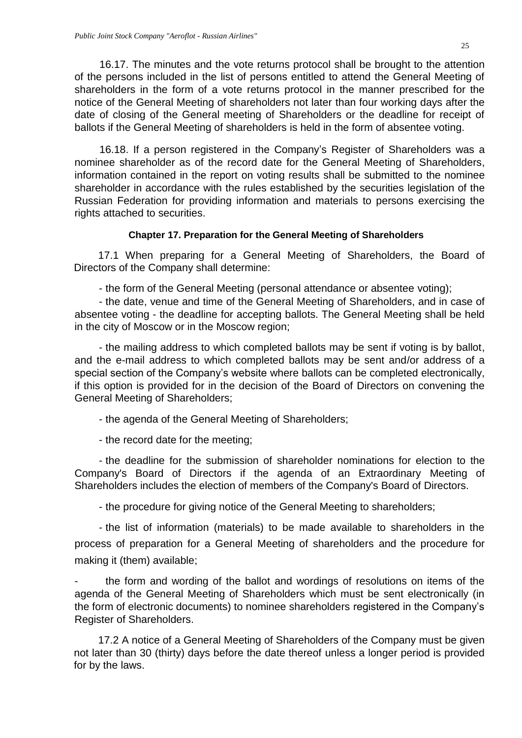16.17. The minutes and the vote returns protocol shall be brought to the attention of the persons included in the list of persons entitled to attend the General Meeting of shareholders in the form of a vote returns protocol in the manner prescribed for the notice of the General Meeting of shareholders not later than four working days after the date of closing of the General meeting of Shareholders or the deadline for receipt of ballots if the General Meeting of shareholders is held in the form of absentee voting.

16.18. If a person registered in the Company's Register of Shareholders was a nominee shareholder as of the record date for the General Meeting of Shareholders, information contained in the report on voting results shall be submitted to the nominee shareholder in accordance with the rules established by the securities legislation of the Russian Federation for providing information and materials to persons exercising the rights attached to securities.

### **Chapter 17. Preparation for the General Meeting of Shareholders**

<span id="page-24-0"></span>17.1 When preparing for a General Meeting of Shareholders, the Board of Directors of the Company shall determine:

- the form of the General Meeting (personal attendance or absentee voting);

- the date, venue and time of the General Meeting of Shareholders, and in case of absentee voting - the deadline for accepting ballots. The General Meeting shall be held in the city of Moscow or in the Moscow region;

- the mailing address to which completed ballots may be sent if voting is by ballot, and the e-mail address to which completed ballots may be sent and/or address of a special section of the Company's website where ballots can be completed electronically, if this option is provided for in the decision of the Board of Directors on convening the General Meeting of Shareholders;

- the agenda of the General Meeting of Shareholders;

- the record date for the meeting;

- the deadline for the submission of shareholder nominations for election to the Company's Board of Directors if the agenda of an Extraordinary Meeting of Shareholders includes the election of members of the Company's Board of Directors.

- the procedure for giving notice of the General Meeting to shareholders;

- the list of information (materials) to be made available to shareholders in the process of preparation for a General Meeting of shareholders and the procedure for making it (them) available;

the form and wording of the ballot and wordings of resolutions on items of the agenda of the General Meeting of Shareholders which must be sent electronically (in the form of electronic documents) to nominee shareholders registered in the Company's Register of Shareholders.

17.2 A notice of a General Meeting of Shareholders of the Company must be given not later than 30 (thirty) days before the date thereof unless a longer period is provided for by the laws.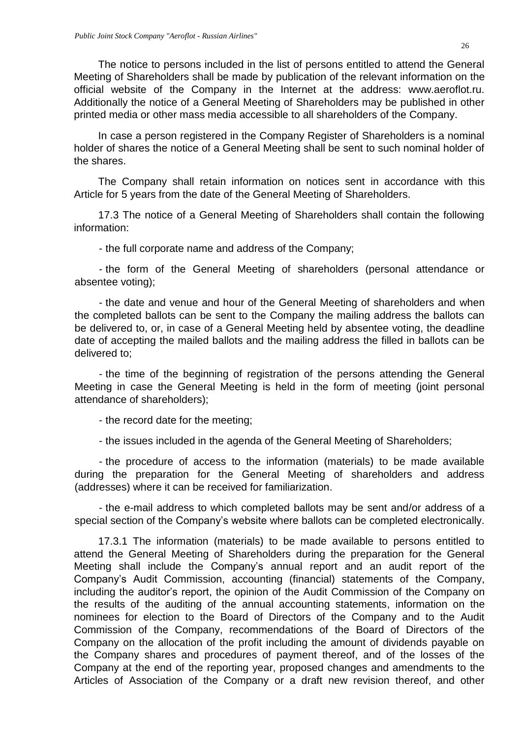The notice to persons included in the list of persons entitled to attend the General Meeting of Shareholders shall be made by publication of the relevant information on the official website of the Company in the Internet at the address: www.aeroflot.ru. Additionally the notice of a General Meeting of Shareholders may be published in other printed media or other mass media accessible to all shareholders of the Company.

In case a person registered in the Company Register of Shareholders is a nominal holder of shares the notice of a General Meeting shall be sent to such nominal holder of the shares.

The Company shall retain information on notices sent in accordance with this Article for 5 years from the date of the General Meeting of Shareholders.

17.3 The notice of a General Meeting of Shareholders shall contain the following information:

- the full corporate name and address of the Company;

- the form of the General Meeting of shareholders (personal attendance or absentee voting);

- the date and venue and hour of the General Meeting of shareholders and when the completed ballots can be sent to the Company the mailing address the ballots can be delivered to, or, in case of a General Meeting held by absentee voting, the deadline date of accepting the mailed ballots and the mailing address the filled in ballots can be delivered to;

- the time of the beginning of registration of the persons attending the General Meeting in case the General Meeting is held in the form of meeting (joint personal attendance of shareholders);

- the record date for the meeting;

- the issues included in the agenda of the General Meeting of Shareholders;

- the procedure of access to the information (materials) to be made available during the preparation for the General Meeting of shareholders and address (addresses) where it can be received for familiarization.

- the e-mail address to which completed ballots may be sent and/or address of a special section of the Company's website where ballots can be completed electronically.

17.3.1 The information (materials) to be made available to persons entitled to attend the General Meeting of Shareholders during the preparation for the General Meeting shall include the Company's annual report and an audit report of the Company's Audit Commission, accounting (financial) statements of the Company, including the auditor's report, the opinion of the Audit Commission of the Company on the results of the auditing of the annual accounting statements, information on the nominees for election to the Board of Directors of the Company and to the Audit Commission of the Company, recommendations of the Board of Directors of the Company on the allocation of the profit including the amount of dividends payable on the Company shares and procedures of payment thereof, and of the losses of the Company at the end of the reporting year, proposed changes and amendments to the Articles of Association of the Company or a draft new revision thereof, and other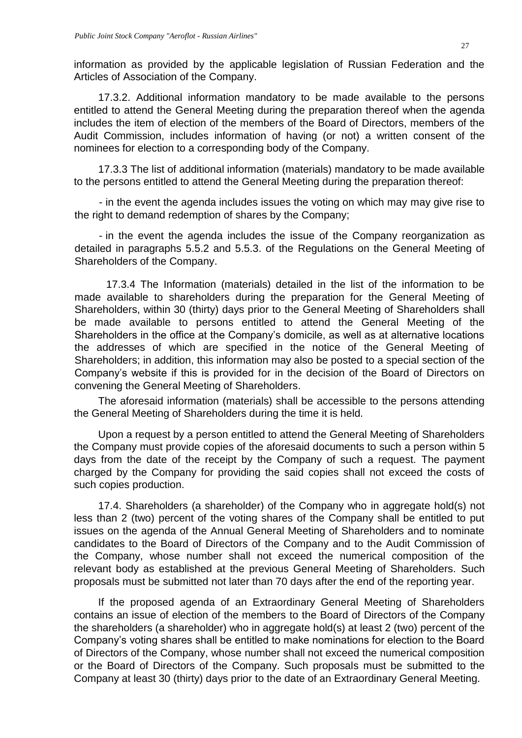information as provided by the applicable legislation of Russian Federation and the Articles of Association of the Company.

17.3.2. Additional information mandatory to be made available to the persons entitled to attend the General Meeting during the preparation thereof when the agenda includes the item of election of the members of the Board of Directors, members of the Audit Commission, includes information of having (or not) a written consent of the nominees for election to a corresponding body of the Company.

17.3.3 The list of additional information (materials) mandatory to be made available to the persons entitled to attend the General Meeting during the preparation thereof:

- in the event the agenda includes issues the voting on which may may give rise to the right to demand redemption of shares by the Company;

- in the event the agenda includes the issue of the Company reorganization as detailed in paragraphs 5.5.2 and 5.5.3. of the Regulations on the General Meeting of Shareholders of the Company.

17.3.4 The Information (materials) detailed in the list of the information to be made available to shareholders during the preparation for the General Meeting of Shareholders, within 30 (thirty) days prior to the General Meeting of Shareholders shall be made available to persons entitled to attend the General Meeting of the Shareholders in the office at the Company's domicile, as well as at alternative locations the addresses of which are specified in the notice of the General Meeting of Shareholders; in addition, this information may also be posted to a special section of the Company's website if this is provided for in the decision of the Board of Directors on convening the General Meeting of Shareholders.

The aforesaid information (materials) shall be accessible to the persons attending the General Meeting of Shareholders during the time it is held.

Upon a request by a person entitled to attend the General Meeting of Shareholders the Company must provide copies of the aforesaid documents to such a person within 5 days from the date of the receipt by the Company of such a request. The payment charged by the Company for providing the said copies shall not exceed the costs of such copies production.

17.4. Shareholders (a shareholder) of the Company who in aggregate hold(s) not less than 2 (two) percent of the voting shares of the Company shall be entitled to put issues on the agenda of the Annual General Meeting of Shareholders and to nominate candidates to the Board of Directors of the Company and to the Audit Commission of the Company, whose number shall not exceed the numerical composition of the relevant body as established at the previous General Meeting of Shareholders. Such proposals must be submitted not later than 70 days after the end of the reporting year.

If the proposed agenda of an Extraordinary General Meeting of Shareholders contains an issue of election of the members to the Board of Directors of the Company the shareholders (a shareholder) who in aggregate hold(s) at least 2 (two) percent of the Company's voting shares shall be entitled to make nominations for election to the Board of Directors of the Company, whose number shall not exceed the numerical composition or the Board of Directors of the Company. Such proposals must be submitted to the Company at least 30 (thirty) days prior to the date of an Extraordinary General Meeting.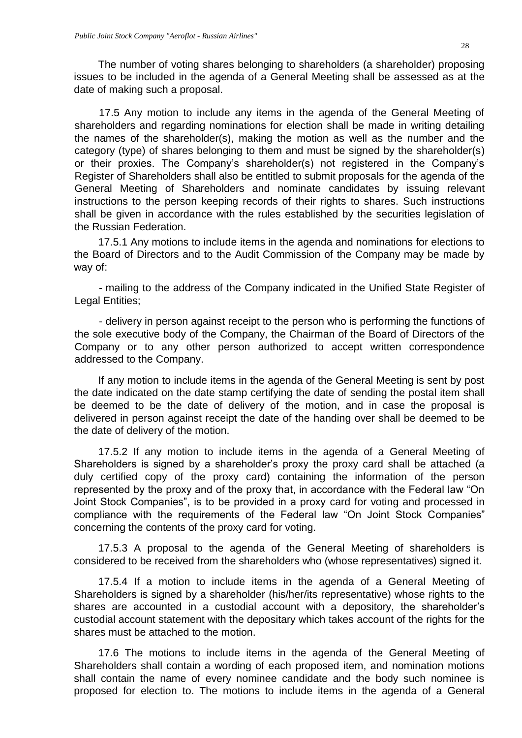The number of voting shares belonging to shareholders (a shareholder) proposing issues to be included in the agenda of a General Meeting shall be assessed as at the date of making such a proposal.

17.5 Any motion to include any items in the agenda of the General Meeting of shareholders and regarding nominations for election shall be made in writing detailing the names of the shareholder(s), making the motion as well as the number and the category (type) of shares belonging to them and must be signed by the shareholder(s) or their proxies. The Company's shareholder(s) not registered in the Company's Register of Shareholders shall also be entitled to submit proposals for the agenda of the General Meeting of Shareholders and nominate candidates by issuing relevant instructions to the person keeping records of their rights to shares. Such instructions shall be given in accordance with the rules established by the securities legislation of the Russian Federation.

17.5.1 Any motions to include items in the agenda and nominations for elections to the Board of Directors and to the Audit Commission of the Company may be made by way of:

- mailing to the address of the Company indicated in the Unified State Register of Legal Entities;

- delivery in person against receipt to the person who is performing the functions of the sole executive body of the Company, the Chairman of the Board of Directors of the Company or to any other person authorized to accept written correspondence addressed to the Company.

If any motion to include items in the agenda of the General Meeting is sent by post the date indicated on the date stamp certifying the date of sending the postal item shall be deemed to be the date of delivery of the motion, and in case the proposal is delivered in person against receipt the date of the handing over shall be deemed to be the date of delivery of the motion.

17.5.2 If any motion to include items in the agenda of a General Meeting of Shareholders is signed by a shareholder's proxy the proxy card shall be attached (a duly certified copy of the proxy card) containing the information of the person represented by the proxy and of the proxy that, in accordance with the Federal law "On Joint Stock Companies", is to be provided in a proxy card for voting and processed in compliance with the requirements of the Federal law "On Joint Stock Companies" concerning the contents of the proxy card for voting.

17.5.3 A proposal to the agenda of the General Meeting of shareholders is considered to be received from the shareholders who (whose representatives) signed it.

17.5.4 If a motion to include items in the agenda of a General Meeting of Shareholders is signed by a shareholder (his/her/its representative) whose rights to the shares are accounted in a custodial account with a depository, the shareholder's custodial account statement with the depositary which takes account of the rights for the shares must be attached to the motion.

17.6 The motions to include items in the agenda of the General Meeting of Shareholders shall contain a wording of each proposed item, and nomination motions shall contain the name of every nominee candidate and the body such nominee is proposed for election to. The motions to include items in the agenda of a General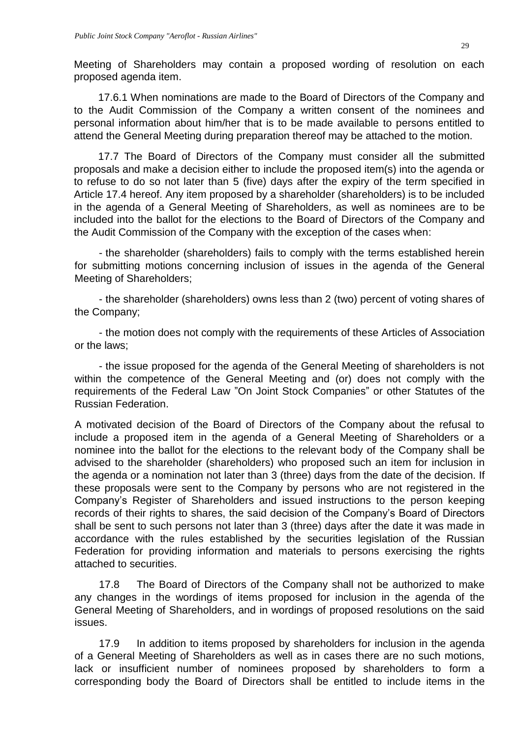Meeting of Shareholders may contain a proposed wording of resolution on each proposed agenda item.

17.6.1 When nominations are made to the Board of Directors of the Company and to the Audit Commission of the Company a written consent of the nominees and personal information about him/her that is to be made available to persons entitled to attend the General Meeting during preparation thereof may be attached to the motion.

17.7 The Board of Directors of the Company must consider all the submitted proposals and make a decision either to include the proposed item(s) into the agenda or to refuse to do so not later than 5 (five) days after the expiry of the term specified in Article 17.4 hereof. Any item proposed by a shareholder (shareholders) is to be included in the agenda of a General Meeting of Shareholders, as well as nominees are to be included into the ballot for the elections to the Board of Directors of the Company and the Audit Commission of the Company with the exception of the cases when:

- the shareholder (shareholders) fails to comply with the terms established herein for submitting motions concerning inclusion of issues in the agenda of the General Meeting of Shareholders;

- the shareholder (shareholders) owns less than 2 (two) percent of voting shares of the Company;

- the motion does not comply with the requirements of these Articles of Association or the laws;

- the issue proposed for the agenda of the General Meeting of shareholders is not within the competence of the General Meeting and (or) does not comply with the requirements of the Federal Law "On Joint Stock Companies" or other Statutes of the Russian Federation.

A motivated decision of the Board of Directors of the Company about the refusal to include a proposed item in the agenda of a General Meeting of Shareholders or a nominee into the ballot for the elections to the relevant body of the Company shall be advised to the shareholder (shareholders) who proposed such an item for inclusion in the agenda or a nomination not later than 3 (three) days from the date of the decision. If these proposals were sent to the Company by persons who are not registered in the Company's Register of Shareholders and issued instructions to the person keeping records of their rights to shares, the said decision of the Company's Board of Directors shall be sent to such persons not later than 3 (three) days after the date it was made in accordance with the rules established by the securities legislation of the Russian Federation for providing information and materials to persons exercising the rights attached to securities.

17.8 The Board of Directors of the Company shall not be authorized to make any changes in the wordings of items proposed for inclusion in the agenda of the General Meeting of Shareholders, and in wordings of proposed resolutions on the said issues.

17.9 In addition to items proposed by shareholders for inclusion in the agenda of a General Meeting of Shareholders as well as in cases there are no such motions, lack or insufficient number of nominees proposed by shareholders to form a corresponding body the Board of Directors shall be entitled to include items in the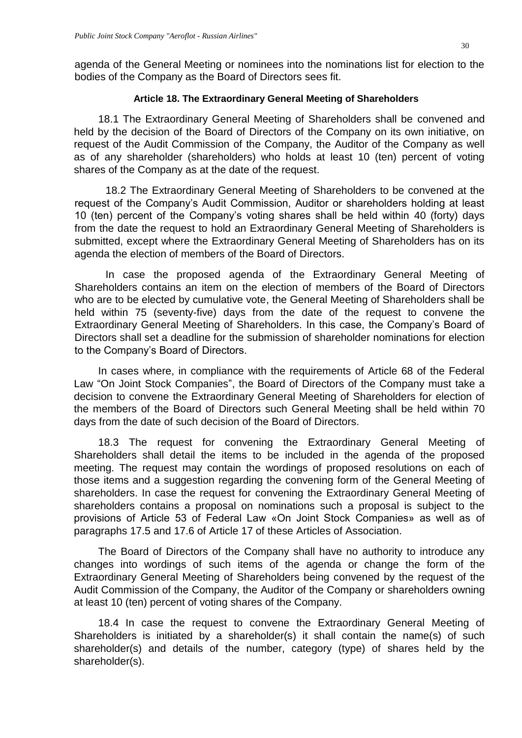agenda of the General Meeting or nominees into the nominations list for election to the bodies of the Company as the Board of Directors sees fit.

# **Article 18. The Extraordinary General Meeting of Shareholders**

<span id="page-29-0"></span>18.1 The Extraordinary General Meeting of Shareholders shall be convened and held by the decision of the Board of Directors of the Company on its own initiative, on request of the Audit Commission of the Company, the Auditor of the Company as well as of any shareholder (shareholders) who holds at least 10 (ten) percent of voting shares of the Company as at the date of the request.

18.2 The Extraordinary General Meeting of Shareholders to be convened at the request of the Company's Audit Commission, Auditor or shareholders holding at least 10 (ten) percent of the Company's voting shares shall be held within 40 (forty) days from the date the request to hold an Extraordinary General Meeting of Shareholders is submitted, except where the Extraordinary General Meeting of Shareholders has on its agenda the election of members of the Board of Directors.

In case the proposed agenda of the Extraordinary General Meeting of Shareholders contains an item on the election of members of the Board of Directors who are to be elected by cumulative vote, the General Meeting of Shareholders shall be held within 75 (seventy-five) days from the date of the request to convene the Extraordinary General Meeting of Shareholders. In this case, the Company's Board of Directors shall set a deadline for the submission of shareholder nominations for election to the Company's Board of Directors.

In cases where, in compliance with the requirements of Article 68 of the Federal Law "On Joint Stock Companies", the Board of Directors of the Company must take a decision to convene the Extraordinary General Meeting of Shareholders for election of the members of the Board of Directors such General Meeting shall be held within 70 days from the date of such decision of the Board of Directors.

18.3 The request for convening the Extraordinary General Meeting of Shareholders shall detail the items to be included in the agenda of the proposed meeting. The request may contain the wordings of proposed resolutions on each of those items and a suggestion regarding the convening form of the General Meeting of shareholders. In case the request for convening the Extraordinary General Meeting of shareholders contains a proposal on nominations such a proposal is subject to the provisions of Article 53 of Federal Law «On Joint Stock Companies» as well as of paragraphs 17.5 and 17.6 of Article 17 of these Articles of Association.

The Board of Directors of the Company shall have no authority to introduce any changes into wordings of such items of the agenda or change the form of the Extraordinary General Meeting of Shareholders being convened by the request of the Audit Commission of the Company, the Auditor of the Company or shareholders owning at least 10 (ten) percent of voting shares of the Company.

18.4 In case the request to convene the Extraordinary General Meeting of Shareholders is initiated by a shareholder(s) it shall contain the name(s) of such shareholder(s) and details of the number, category (type) of shares held by the shareholder(s).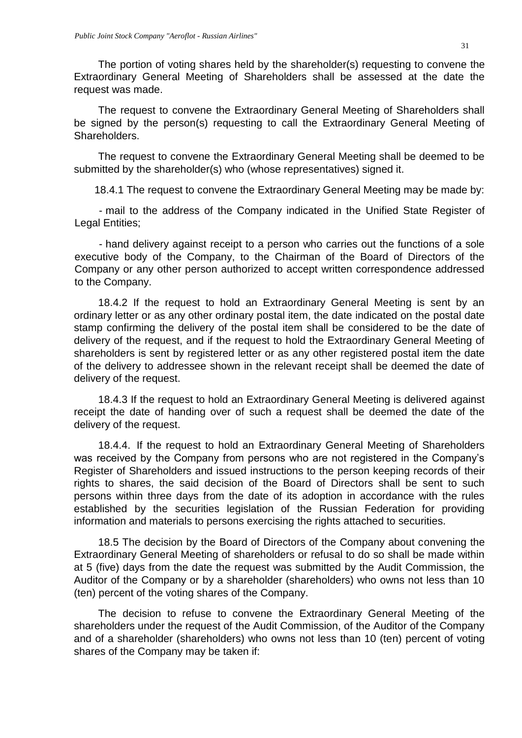The portion of voting shares held by the shareholder(s) requesting to convene the Extraordinary General Meeting of Shareholders shall be assessed at the date the request was made.

The request to convene the Extraordinary General Meeting of Shareholders shall be signed by the person(s) requesting to call the Extraordinary General Meeting of Shareholders.

The request to convene the Extraordinary General Meeting shall be deemed to be submitted by the shareholder(s) who (whose representatives) signed it.

18.4.1 The request to convene the Extraordinary General Meeting may be made by:

- mail to the address of the Company indicated in the Unified State Register of Legal Entities;

- hand delivery against receipt to a person who carries out the functions of a sole executive body of the Company, to the Chairman of the Board of Directors of the Company or any other person authorized to accept written correspondence addressed to the Company.

18.4.2 If the request to hold an Extraordinary General Meeting is sent by an ordinary letter or as any other ordinary postal item, the date indicated on the postal date stamp confirming the delivery of the postal item shall be considered to be the date of delivery of the request, and if the request to hold the Extraordinary General Meeting of shareholders is sent by registered letter or as any other registered postal item the date of the delivery to addressee shown in the relevant receipt shall be deemed the date of delivery of the request.

18.4.3 If the request to hold an Extraordinary General Meeting is delivered against receipt the date of handing over of such a request shall be deemed the date of the delivery of the request.

18.4.4. If the request to hold an Extraordinary General Meeting of Shareholders was received by the Company from persons who are not registered in the Company's Register of Shareholders and issued instructions to the person keeping records of their rights to shares, the said decision of the Board of Directors shall be sent to such persons within three days from the date of its adoption in accordance with the rules established by the securities legislation of the Russian Federation for providing information and materials to persons exercising the rights attached to securities.

18.5 The decision by the Board of Directors of the Company about convening the Extraordinary General Meeting of shareholders or refusal to do so shall be made within at 5 (five) days from the date the request was submitted by the Audit Commission, the Auditor of the Company or by a shareholder (shareholders) who owns not less than 10 (ten) percent of the voting shares of the Company.

The decision to refuse to convene the Extraordinary General Meeting of the shareholders under the request of the Audit Commission, of the Auditor of the Company and of a shareholder (shareholders) who owns not less than 10 (ten) percent of voting shares of the Company may be taken if: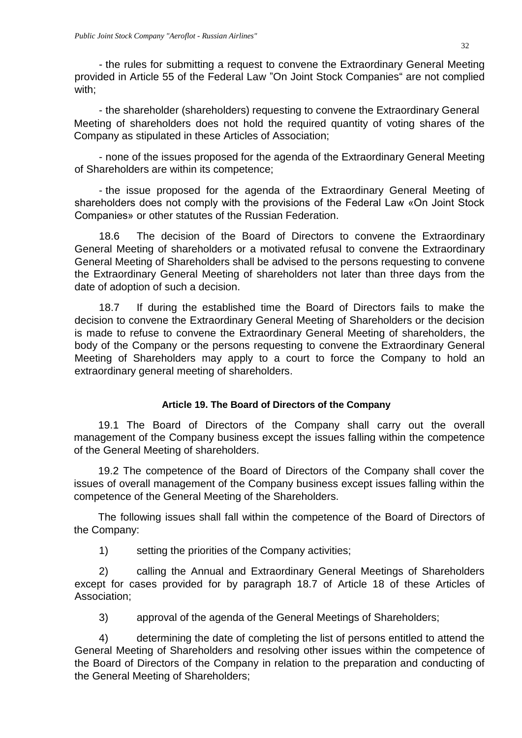- the rules for submitting a request to convene the Extraordinary General Meeting provided in Article 55 of the Federal Law "On Joint Stock Companies" are not complied with;

- the shareholder (shareholders) requesting to convene the Extraordinary General Meeting of shareholders does not hold the required quantity of voting shares of the Company as stipulated in these Articles of Association;

- none of the issues proposed for the agenda of the Extraordinary General Meeting of Shareholders are within its competence;

- the issue proposed for the agenda of the Extraordinary General Meeting of shareholders does not comply with the provisions of the Federal Law «On Joint Stock Companies» or other statutes of the Russian Federation.

18.6 The decision of the Board of Directors to convene the Extraordinary General Meeting of shareholders or a motivated refusal to convene the Extraordinary General Meeting of Shareholders shall be advised to the persons requesting to convene the Extraordinary General Meeting of shareholders not later than three days from the date of adoption of such a decision.

18.7 If during the established time the Board of Directors fails to make the decision to convene the Extraordinary General Meeting of Shareholders or the decision is made to refuse to convene the Extraordinary General Meeting of shareholders, the body of the Company or the persons requesting to convene the Extraordinary General Meeting of Shareholders may apply to a court to force the Company to hold an extraordinary general meeting of shareholders.

# **Article 19. The Board of Directors of the Company**

<span id="page-31-0"></span>19.1 The Board of Directors of the Company shall carry out the overall management of the Company business except the issues falling within the competence of the General Meeting of shareholders.

19.2 The competence of the Board of Directors of the Company shall cover the issues of overall management of the Company business except issues falling within the competence of the General Meeting of the Shareholders.

The following issues shall fall within the competence of the Board of Directors of the Company:

1) setting the priorities of the Company activities;

2) calling the Annual and Extraordinary General Meetings of Shareholders except for cases provided for by paragraph 18.7 of Article 18 of these Articles of Association;

3) approval of the agenda of the General Meetings of Shareholders;

4) determining the date of completing the list of persons entitled to attend the General Meeting of Shareholders and resolving other issues within the competence of the Board of Directors of the Company in relation to the preparation and conducting of the General Meeting of Shareholders;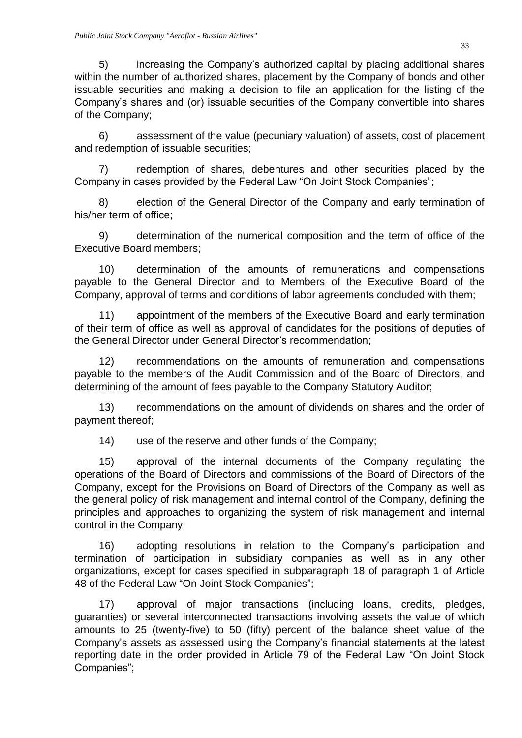5) increasing the Company's authorized capital by placing additional shares within the number of authorized shares, placement by the Company of bonds and other issuable securities and making a decision to file an application for the listing of the Company's shares and (or) issuable securities of the Company convertible into shares of the Company;

6) assessment of the value (pecuniary valuation) of assets, cost of placement and redemption of issuable securities;

7) redemption of shares, debentures and other securities placed by the Company in cases provided by the Federal Law "On Joint Stock Companies";

8) election of the General Director of the Company and early termination of his/her term of office;

9) determination of the numerical composition and the term of office of the Executive Board members;

10) determination of the amounts of remunerations and compensations payable to the General Director and to Members of the Executive Board of the Company, approval of terms and conditions of labor agreements concluded with them;

11) appointment of the members of the Executive Board and early termination of their term of office as well as approval of candidates for the positions of deputies of the General Director under General Director's recommendation;

12) recommendations on the amounts of remuneration and compensations payable to the members of the Audit Commission and of the Board of Directors, and determining of the amount of fees payable to the Company Statutory Auditor;

13) recommendations on the amount of dividends on shares and the order of payment thereof;

14) use of the reserve and other funds of the Company;

15) approval of the internal documents of the Company regulating the operations of the Board of Directors and commissions of the Board of Directors of the Company, except for the Provisions on Board of Directors of the Company as well as the general policy of risk management and internal control of the Company, defining the principles and approaches to organizing the system of risk management and internal control in the Company;

16) adopting resolutions in relation to the Company's participation and termination of participation in subsidiary companies as well as in any other organizations, except for cases specified in subparagraph 18 of paragraph 1 of Article 48 of the Federal Law "On Joint Stock Companies";

17) approval of major transactions (including loans, credits, pledges, guaranties) or several interconnected transactions involving assets the value of which amounts to 25 (twenty-five) to 50 (fifty) percent of the balance sheet value of the Company's assets as assessed using the Company's financial statements at the latest reporting date in the order provided in Article 79 of the Federal Law "On Joint Stock Companies";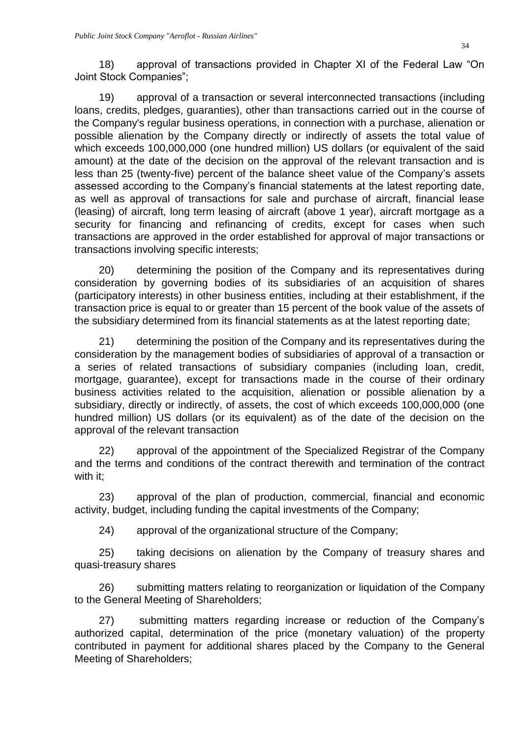18) approval of transactions provided in Chapter XI of the Federal Law "On Joint Stock Companies";

19) approval of a transaction or several interconnected transactions (including loans, credits, pledges, guaranties), other than transactions carried out in the course of the Company's regular business operations, in connection with a purchase, alienation or possible alienation by the Company directly or indirectly of assets the total value of which exceeds 100,000,000 (one hundred million) US dollars (or equivalent of the said amount) at the date of the decision on the approval of the relevant transaction and is less than 25 (twenty-five) percent of the balance sheet value of the Company's assets assessed according to the Company's financial statements at the latest reporting date, as well as approval of transactions for sale and purchase of aircraft, financial lease (leasing) of aircraft, long term leasing of aircraft (above 1 year), aircraft mortgage as a security for financing and refinancing of credits, except for cases when such transactions are approved in the order established for approval of major transactions or transactions involving specific interests;

20) determining the position of the Company and its representatives during consideration by governing bodies of its subsidiaries of an acquisition of shares (participatory interests) in other business entities, including at their establishment, if the transaction price is equal to or greater than 15 percent of the book value of the assets of the subsidiary determined from its financial statements as at the latest reporting date;

21) determining the position of the Company and its representatives during the consideration by the management bodies of subsidiaries of approval of a transaction or a series of related transactions of subsidiary companies (including loan, credit, mortgage, guarantee), except for transactions made in the course of their ordinary business activities related to the acquisition, alienation or possible alienation by a subsidiary, directly or indirectly, of assets, the cost of which exceeds 100,000,000 (one hundred million) US dollars (or its equivalent) as of the date of the decision on the approval of the relevant transaction

22) approval of the appointment of the Specialized Registrar of the Company and the terms and conditions of the contract therewith and termination of the contract with it;

23) approval of the plan of production, commercial, financial and economic activity, budget, including funding the capital investments of the Company;

24) approval of the organizational structure of the Company;

25) taking decisions on alienation by the Company of treasury shares and quasi-treasury shares

26) submitting matters relating to reorganization or liquidation of the Company to the General Meeting of Shareholders;

27) submitting matters regarding increase or reduction of the Company's authorized capital, determination of the price (monetary valuation) of the property contributed in payment for additional shares placed by the Company to the General Meeting of Shareholders;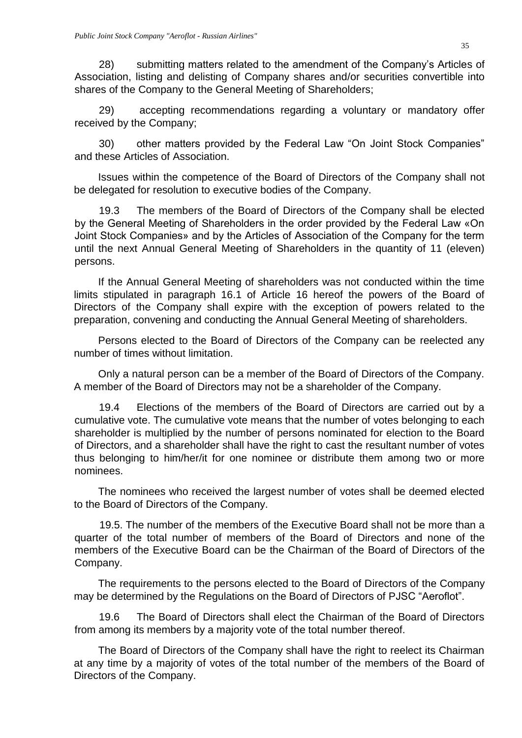28) submitting matters related to the amendment of the Company's Articles of Association, listing and delisting of Company shares and/or securities convertible into shares of the Company to the General Meeting of Shareholders;

29) accepting recommendations regarding a voluntary or mandatory offer received by the Company;

30) other matters provided by the Federal Law "On Joint Stock Companies" and these Articles of Association.

Issues within the competence of the Board of Directors of the Company shall not be delegated for resolution to executive bodies of the Company.

19.3 The members of the Board of Directors of the Company shall be elected by the General Meeting of Shareholders in the order provided by the Federal Law «On Joint Stock Companies» and by the Articles of Association of the Company for the term until the next Annual General Meeting of Shareholders in the quantity of 11 (eleven) persons.

If the Annual General Meeting of shareholders was not conducted within the time limits stipulated in paragraph 16.1 of Article 16 hereof the powers of the Board of Directors of the Company shall expire with the exception of powers related to the preparation, convening and conducting the Annual General Meeting of shareholders.

Persons elected to the Board of Directors of the Company can be reelected any number of times without limitation.

Only a natural person can be a member of the Board of Directors of the Company. A member of the Board of Directors may not be a shareholder of the Company.

19.4 Elections of the members of the Board of Directors are carried out by a cumulative vote. The cumulative vote means that the number of votes belonging to each shareholder is multiplied by the number of persons nominated for election to the Board of Directors, and a shareholder shall have the right to cast the resultant number of votes thus belonging to him/her/it for one nominee or distribute them among two or more nominees.

The nominees who received the largest number of votes shall be deemed elected to the Board of Directors of the Company.

19.5. The number of the members of the Executive Board shall not be more than a quarter of the total number of members of the Board of Directors and none of the members of the Executive Board can be the Chairman of the Board of Directors of the Company.

The requirements to the persons elected to the Board of Directors of the Company may be determined by the Regulations on the Board of Directors of PJSC "Aeroflot".

19.6 The Board of Directors shall elect the Chairman of the Board of Directors from among its members by a majority vote of the total number thereof.

The Board of Directors of the Company shall have the right to reelect its Chairman at any time by a majority of votes of the total number of the members of the Board of Directors of the Company.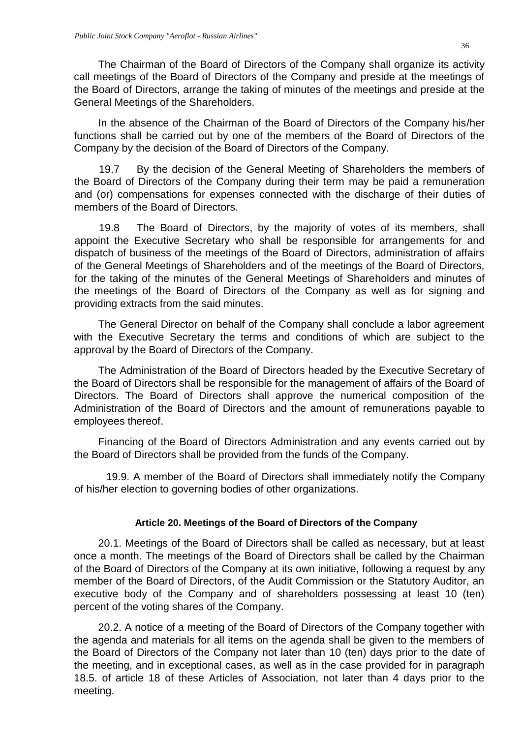The Chairman of the Board of Directors of the Company shall organize its activity call meetings of the Board of Directors of the Company and preside at the meetings of the Board of Directors, arrange the taking of minutes of the meetings and preside at the General Meetings of the Shareholders.

In the absence of the Chairman of the Board of Directors of the Company his/her functions shall be carried out by one of the members of the Board of Directors of the Company by the decision of the Board of Directors of the Company.

19.7 By the decision of the General Meeting of Shareholders the members of the Board of Directors of the Company during their term may be paid a remuneration and (or) compensations for expenses connected with the discharge of their duties of members of the Board of Directors.

19.8 The Board of Directors, by the majority of votes of its members, shall appoint the Executive Secretary who shall be responsible for arrangements for and dispatch of business of the meetings of the Board of Directors, administration of affairs of the General Meetings of Shareholders and of the meetings of the Board of Directors, for the taking of the minutes of the General Meetings of Shareholders and minutes of the meetings of the Board of Directors of the Company as well as for signing and providing extracts from the said minutes.

The General Director on behalf of the Company shall conclude a labor agreement with the Executive Secretary the terms and conditions of which are subject to the approval by the Board of Directors of the Company.

The Administration of the Board of Directors headed by the Executive Secretary of the Board of Directors shall be responsible for the management of affairs of the Board of Directors. The Board of Directors shall approve the numerical composition of the Administration of the Board of Directors and the amount of remunerations payable to employees thereof.

Financing of the Board of Directors Administration and any events carried out by the Board of Directors shall be provided from the funds of the Company.

19.9. A member of the Board of Directors shall immediately notify the Company of his/her election to governing bodies of other organizations.

### **Article 20. Meetings of the Board of Directors of the Company**

<span id="page-35-0"></span>20.1. Meetings of the Board of Directors shall be called as necessary, but at least once a month. The meetings of the Board of Directors shall be called by the Chairman of the Board of Directors of the Company at its own initiative, following a request by any member of the Board of Directors, of the Audit Commission or the Statutory Auditor, an executive body of the Company and of shareholders possessing at least 10 (ten) percent of the voting shares of the Company.

20.2. A notice of a meeting of the Board of Directors of the Company together with the agenda and materials for all items on the agenda shall be given to the members of the Board of Directors of the Company not later than 10 (ten) days prior to the date of the meeting, and in exceptional cases, as well as in the case provided for in paragraph 18.5. of article 18 of these Articles of Association, not later than 4 days prior to the meeting.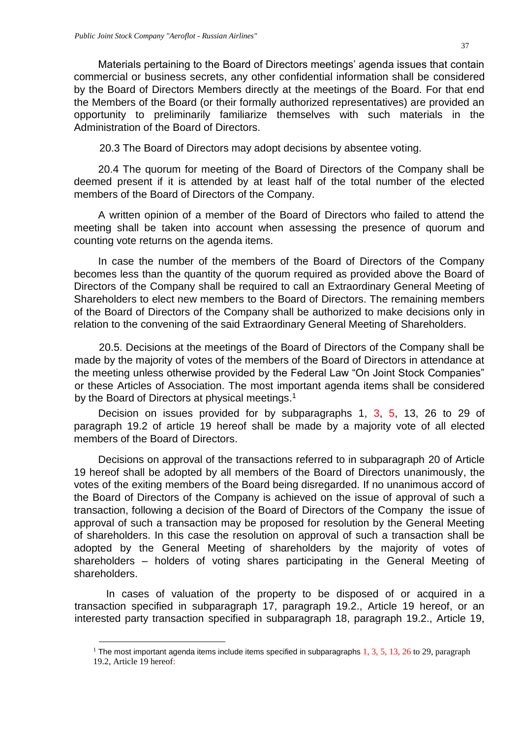Materials pertaining to the Board of Directors meetings' agenda issues that contain commercial or business secrets, any other confidential information shall be considered by the Board of Directors Members directly at the meetings of the Board. For that end the Members of the Board (or their formally authorized representatives) are provided an opportunity to preliminarily familiarize themselves with such materials in the Administration of the Board of Directors.

20.3 The Board of Directors may adopt decisions by absentee voting.

20.4 The quorum for meeting of the Board of Directors of the Company shall be deemed present if it is attended by at least half of the total number of the elected members of the Board of Directors of the Company.

A written opinion of a member of the Board of Directors who failed to attend the meeting shall be taken into account when assessing the presence of quorum and counting vote returns on the agenda items.

In case the number of the members of the Board of Directors of the Company becomes less than the quantity of the quorum required as provided above the Board of Directors of the Company shall be required to call an Extraordinary General Meeting of Shareholders to elect new members to the Board of Directors. The remaining members of the Board of Directors of the Company shall be authorized to make decisions only in relation to the convening of the said Extraordinary General Meeting of Shareholders.

20.5. Decisions at the meetings of the Board of Directors of the Company shall be made by the majority of votes of the members of the Board of Directors in attendance at the meeting unless otherwise provided by the Federal Law "On Joint Stock Companies" or these Articles of Association. The most important agenda items shall be considered by the Board of Directors at physical meetings.<sup>1</sup>

Decision on issues provided for by subparagraphs 1, 3, 5, 13, 26 to 29 of paragraph 19.2 of article 19 hereof shall be made by a majority vote of all elected members of the Board of Directors.

Decisions on approval of the transactions referred to in subparagraph 20 of Article 19 hereof shall be adopted by all members of the Board of Directors unanimously, the votes of the exiting members of the Board being disregarded. If no unanimous accord of the Board of Directors of the Company is achieved on the issue of approval of such a transaction, following a decision of the Board of Directors of the Company the issue of approval of such a transaction may be proposed for resolution by the General Meeting of shareholders. In this case the resolution on approval of such a transaction shall be adopted by the General Meeting of shareholders by the majority of votes of shareholders – holders of voting shares participating in the General Meeting of shareholders.

In cases of valuation of the property to be disposed of or acquired in a transaction specified in subparagraph 17, paragraph 19.2., Article 19 hereof, or an interested party transaction specified in subparagraph 18, paragraph 19.2., Article 19,

1

<sup>&</sup>lt;sup>1</sup> The most important agenda items include items specified in subparagraphs  $1, 3, 5, 13, 26$  to 29, paragraph 19.2, Article 19 hereof: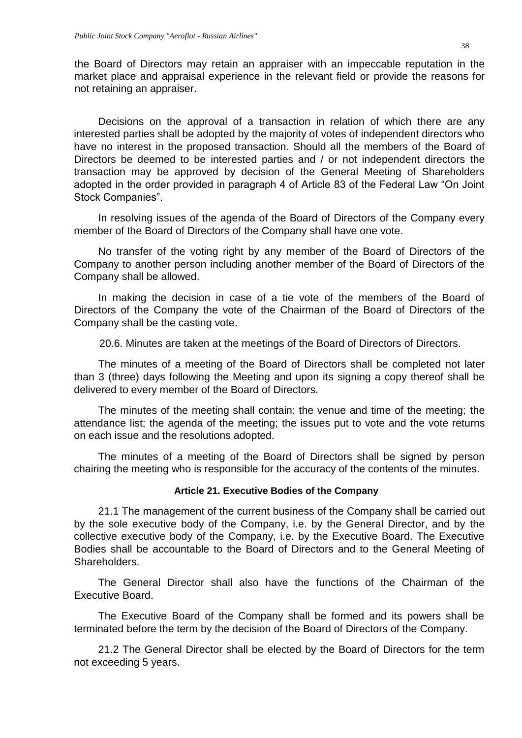the Board of Directors may retain an appraiser with an impeccable reputation in the market place and appraisal experience in the relevant field or provide the reasons for not retaining an appraiser.

Decisions on the approval of a transaction in relation of which there are any interested parties shall be adopted by the majority of votes of independent directors who have no interest in the proposed transaction. Should all the members of the Board of Directors be deemed to be interested parties and / or not independent directors the transaction may be approved by decision of the General Meeting of Shareholders adopted in the order provided in paragraph 4 of Article 83 of the Federal Law "On Joint Stock Companies".

In resolving issues of the agenda of the Board of Directors of the Company every member of the Board of Directors of the Company shall have one vote.

No transfer of the voting right by any member of the Board of Directors of the Company to another person including another member of the Board of Directors of the Company shall be allowed.

In making the decision in case of a tie vote of the members of the Board of Directors of the Company the vote of the Chairman of the Board of Directors of the Company shall be the casting vote.

20.6. Minutes are taken at the meetings of the Board of Directors of Directors.

The minutes of a meeting of the Board of Directors shall be completed not later than 3 (three) days following the Meeting and upon its signing a copy thereof shall be delivered to every member of the Board of Directors.

The minutes of the meeting shall contain: the venue and time of the meeting; the attendance list; the agenda of the meeting; the issues put to vote and the vote returns on each issue and the resolutions adopted.

The minutes of a meeting of the Board of Directors shall be signed by person chairing the meeting who is responsible for the accuracy of the contents of the minutes.

#### **Article 21. Executive Bodies of the Company**

<span id="page-37-0"></span>21.1 The management of the current business of the Company shall be carried out by the sole executive body of the Company, i.e. by the General Director, and by the collective executive body of the Company, i.e. by the Executive Board. The Executive Bodies shall be accountable to the Board of Directors and to the General Meeting of Shareholders.

The General Director shall also have the functions of the Chairman of the Executive Board.

The Executive Board of the Company shall be formed and its powers shall be terminated before the term by the decision of the Board of Directors of the Company.

21.2 The General Director shall be elected by the Board of Directors for the term not exceeding 5 years.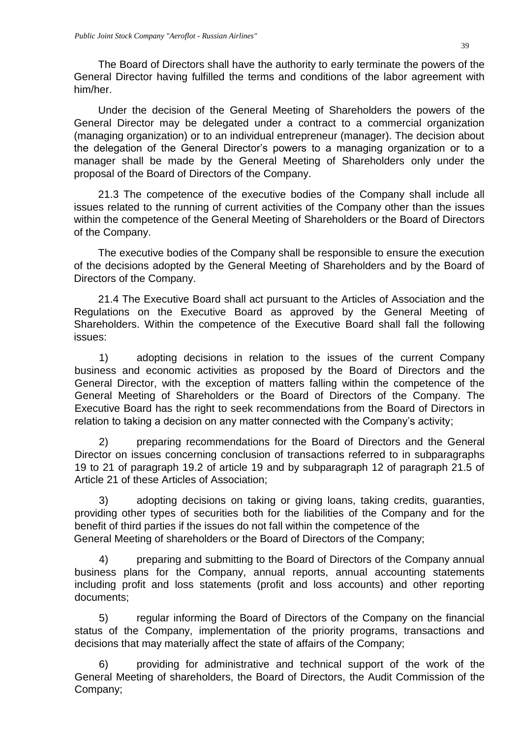The Board of Directors shall have the authority to early terminate the powers of the General Director having fulfilled the terms and conditions of the labor agreement with him/her.

Under the decision of the General Meeting of Shareholders the powers of the General Director may be delegated under a contract to a commercial organization (managing organization) or to an individual entrepreneur (manager). The decision about the delegation of the General Director's powers to a managing organization or to a manager shall be made by the General Meeting of Shareholders only under the proposal of the Board of Directors of the Company.

21.3 The competence of the executive bodies of the Company shall include all issues related to the running of current activities of the Company other than the issues within the competence of the General Meeting of Shareholders or the Board of Directors of the Company.

The executive bodies of the Company shall be responsible to ensure the execution of the decisions adopted by the General Meeting of Shareholders and by the Board of Directors of the Company.

21.4 The Executive Board shall act pursuant to the Articles of Association and the Regulations on the Executive Board as approved by the General Meeting of Shareholders. Within the competence of the Executive Board shall fall the following issues:

1) adopting decisions in relation to the issues of the current Company business and economic activities as proposed by the Board of Directors and the General Director, with the exception of matters falling within the competence of the General Meeting of Shareholders or the Board of Directors of the Company. The Executive Board has the right to seek recommendations from the Board of Directors in relation to taking a decision on any matter connected with the Company's activity;

2) preparing recommendations for the Board of Directors and the General Director on issues concerning conclusion of transactions referred to in subparagraphs 19 to 21 of paragraph 19.2 of article 19 and by subparagraph 12 of paragraph 21.5 of Article 21 of these Articles of Association;

3) adopting decisions on taking or giving loans, taking credits, guaranties, providing other types of securities both for the liabilities of the Company and for the benefit of third parties if the issues do not fall within the competence of the General Meeting of shareholders or the Board of Directors of the Company;

4) preparing and submitting to the Board of Directors of the Company annual business plans for the Company, annual reports, annual accounting statements including profit and loss statements (profit and loss accounts) and other reporting documents;

5) regular informing the Board of Directors of the Company on the financial status of the Company, implementation of the priority programs, transactions and decisions that may materially affect the state of affairs of the Company;

6) providing for administrative and technical support of the work of the General Meeting of shareholders, the Board of Directors, the Audit Commission of the Company;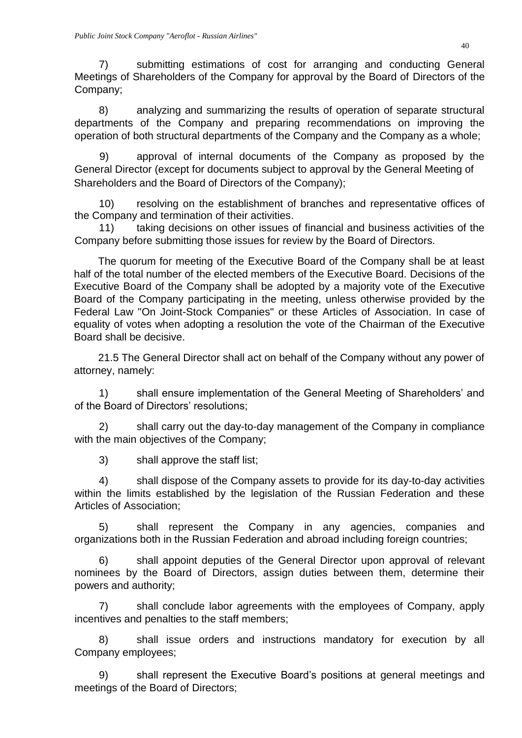7) submitting estimations of cost for arranging and conducting General Meetings of Shareholders of the Company for approval by the Board of Directors of the Company;

8) analyzing and summarizing the results of operation of separate structural departments of the Company and preparing recommendations on improving the operation of both structural departments of the Company and the Company as a whole;

9) approval of internal documents of the Company as proposed by the General Director (except for documents subject to approval by the General Meeting of Shareholders and the Board of Directors of the Company);

10) resolving on the establishment of branches and representative offices of the Company and termination of their activities.

11) taking decisions on other issues of financial and business activities of the Company before submitting those issues for review by the Board of Directors.

The quorum for meeting of the Executive Board of the Company shall be at least half of the total number of the elected members of the Executive Board. Decisions of the Executive Board of the Company shall be adopted by a majority vote of the Executive Board of the Company participating in the meeting, unless otherwise provided by the Federal Law "On Joint-Stock Companies" or these Articles of Association. In case of equality of votes when adopting a resolution the vote of the Chairman of the Executive Board shall be decisive.

21.5 The General Director shall act on behalf of the Company without any power of attorney, namely:

1) shall ensure implementation of the General Meeting of Shareholders' and of the Board of Directors' resolutions;

2) shall carry out the day-to-day management of the Company in compliance with the main objectives of the Company;

3) shall approve the staff list;

4) shall dispose of the Company assets to provide for its day-to-day activities within the limits established by the legislation of the Russian Federation and these Articles of Association;

5) shall represent the Company in any agencies, companies and organizations both in the Russian Federation and abroad including foreign countries;

6) shall appoint deputies of the General Director upon approval of relevant nominees by the Board of Directors, assign duties between them, determine their powers and authority;

7) shall conclude labor agreements with the employees of Company, apply incentives and penalties to the staff members;

8) shall issue orders and instructions mandatory for execution by all Company employees;

9) shall represent the Executive Board's positions at general meetings and meetings of the Board of Directors;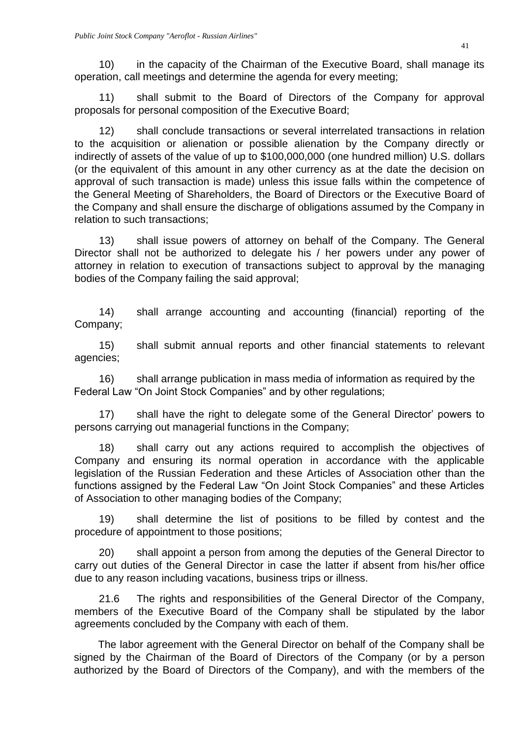10) in the capacity of the Chairman of the Executive Board, shall manage its operation, call meetings and determine the agenda for every meeting;

11) shall submit to the Board of Directors of the Company for approval proposals for personal composition of the Executive Board;

12) shall conclude transactions or several interrelated transactions in relation to the acquisition or alienation or possible alienation by the Company directly or indirectly of assets of the value of up to \$100,000,000 (one hundred million) U.S. dollars (or the equivalent of this amount in any other currency as at the date the decision on approval of such transaction is made) unless this issue falls within the competence of the General Meeting of Shareholders, the Board of Directors or the Executive Board of the Company and shall ensure the discharge of obligations assumed by the Company in relation to such transactions;

13) shall issue powers of attorney on behalf of the Company. The General Director shall not be authorized to delegate his / her powers under any power of attorney in relation to execution of transactions subject to approval by the managing bodies of the Company failing the said approval;

14) shall arrange accounting and accounting (financial) reporting of the Company;

15) shall submit annual reports and other financial statements to relevant agencies;

16) shall arrange publication in mass media of information as required by the Federal Law "On Joint Stock Companies" and by other regulations;

17) shall have the right to delegate some of the General Director' powers to persons carrying out managerial functions in the Company;

18) shall carry out any actions required to accomplish the objectives of Company and ensuring its normal operation in accordance with the applicable legislation of the Russian Federation and these Articles of Association other than the functions assigned by the Federal Law "On Joint Stock Companies" and these Articles of Association to other managing bodies of the Company;

19) shall determine the list of positions to be filled by contest and the procedure of appointment to those positions;

20) shall appoint a person from among the deputies of the General Director to carry out duties of the General Director in case the latter if absent from his/her office due to any reason including vacations, business trips or illness.

21.6 The rights and responsibilities of the General Director of the Company, members of the Executive Board of the Company shall be stipulated by the labor agreements concluded by the Company with each of them.

The labor agreement with the General Director on behalf of the Company shall be signed by the Chairman of the Board of Directors of the Company (or by a person authorized by the Board of Directors of the Company), and with the members of the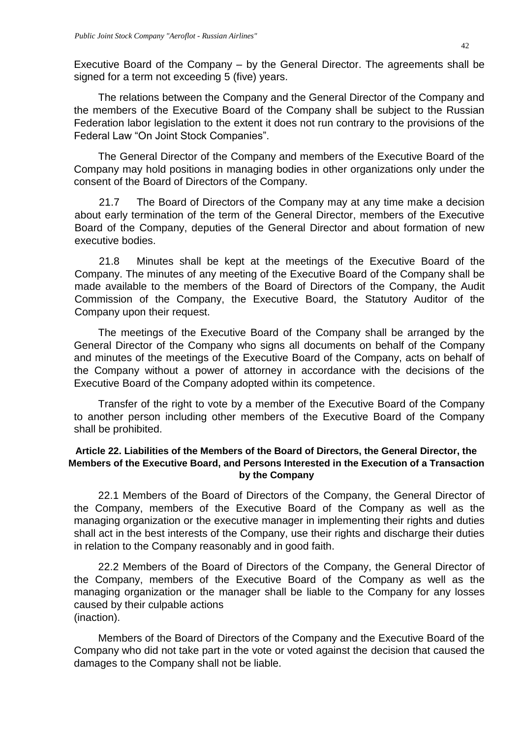Executive Board of the Company – by the General Director. The agreements shall be signed for a term not exceeding 5 (five) years.

The relations between the Company and the General Director of the Company and the members of the Executive Board of the Company shall be subject to the Russian Federation labor legislation to the extent it does not run contrary to the provisions of the Federal Law "On Joint Stock Companies".

The General Director of the Company and members of the Executive Board of the Company may hold positions in managing bodies in other organizations only under the consent of the Board of Directors of the Company.

21.7 The Board of Directors of the Company may at any time make a decision about early termination of the term of the General Director, members of the Executive Board of the Company, deputies of the General Director and about formation of new executive bodies.

21.8 Minutes shall be kept at the meetings of the Executive Board of the Company. The minutes of any meeting of the Executive Board of the Company shall be made available to the members of the Board of Directors of the Company, the Audit Commission of the Company, the Executive Board, the Statutory Auditor of the Company upon their request.

The meetings of the Executive Board of the Company shall be arranged by the General Director of the Company who signs all documents on behalf of the Company and minutes of the meetings of the Executive Board of the Company, acts on behalf of the Company without a power of attorney in accordance with the decisions of the Executive Board of the Company adopted within its competence.

Transfer of the right to vote by a member of the Executive Board of the Company to another person including other members of the Executive Board of the Company shall be prohibited.

#### <span id="page-41-0"></span>**Article 22. Liabilities of the Members of the Board of Directors, the General Director, the Members of the Executive Board, and Persons Interested in the Execution of a Transaction by the Company**

22.1 Members of the Board of Directors of the Company, the General Director of the Company, members of the Executive Board of the Company as well as the managing organization or the executive manager in implementing their rights and duties shall act in the best interests of the Company, use their rights and discharge their duties in relation to the Company reasonably and in good faith.

22.2 Members of the Board of Directors of the Company, the General Director of the Company, members of the Executive Board of the Company as well as the managing organization or the manager shall be liable to the Company for any losses caused by their culpable actions (inaction).

Members of the Board of Directors of the Company and the Executive Board of the Company who did not take part in the vote or voted against the decision that caused the damages to the Company shall not be liable.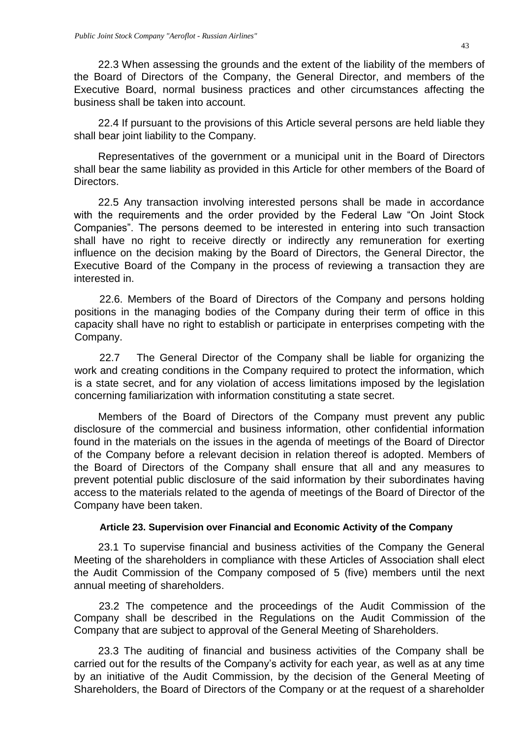22.3 When assessing the grounds and the extent of the liability of the members of the Board of Directors of the Company, the General Director, and members of the Executive Board, normal business practices and other circumstances affecting the business shall be taken into account.

22.4 If pursuant to the provisions of this Article several persons are held liable they shall bear joint liability to the Company.

Representatives of the government or a municipal unit in the Board of Directors shall bear the same liability as provided in this Article for other members of the Board of Directors.

22.5 Any transaction involving interested persons shall be made in accordance with the requirements and the order provided by the Federal Law "On Joint Stock Companies". The persons deemed to be interested in entering into such transaction shall have no right to receive directly or indirectly any remuneration for exerting influence on the decision making by the Board of Directors, the General Director, the Executive Board of the Company in the process of reviewing a transaction they are interested in.

22.6. Members of the Board of Directors of the Company and persons holding positions in the managing bodies of the Company during their term of office in this capacity shall have no right to establish or participate in enterprises competing with the Company.

22.7 The General Director of the Company shall be liable for organizing the work and creating conditions in the Company required to protect the information, which is a state secret, and for any violation of access limitations imposed by the legislation concerning familiarization with information constituting a state secret.

Members of the Board of Directors of the Company must prevent any public disclosure of the commercial and business information, other confidential information found in the materials on the issues in the agenda of meetings of the Board of Director of the Company before a relevant decision in relation thereof is adopted. Members of the Board of Directors of the Company shall ensure that all and any measures to prevent potential public disclosure of the said information by their subordinates having access to the materials related to the agenda of meetings of the Board of Director of the Company have been taken.

#### **Article 23. Supervision over Financial and Economic Activity of the Company**

<span id="page-42-0"></span>23.1 To supervise financial and business activities of the Company the General Meeting of the shareholders in compliance with these Articles of Association shall elect the Audit Commission of the Company composed of 5 (five) members until the next annual meeting of shareholders.

23.2 The competence and the proceedings of the Audit Commission of the Company shall be described in the Regulations on the Audit Commission of the Company that are subject to approval of the General Meeting of Shareholders.

23.3 The auditing of financial and business activities of the Company shall be carried out for the results of the Company's activity for each year, as well as at any time by an initiative of the Audit Commission, by the decision of the General Meeting of Shareholders, the Board of Directors of the Company or at the request of a shareholder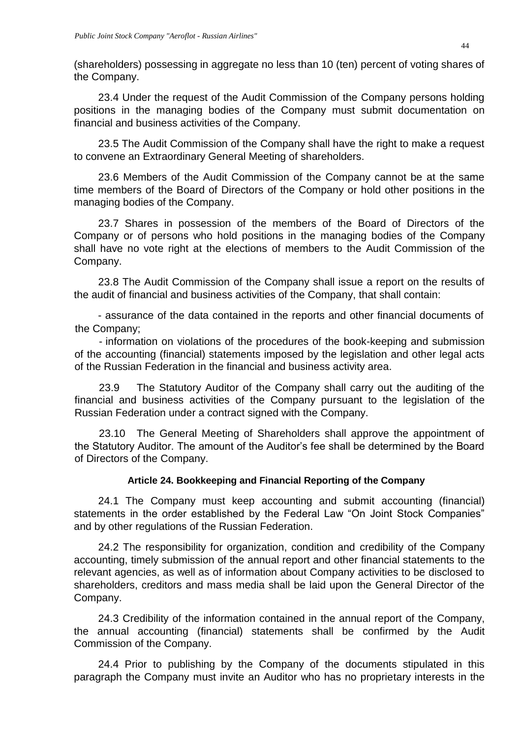(shareholders) possessing in aggregate no less than 10 (ten) percent of voting shares of the Company.

23.4 Under the request of the Audit Commission of the Company persons holding positions in the managing bodies of the Company must submit documentation on financial and business activities of the Company.

23.5 The Audit Commission of the Company shall have the right to make a request to convene an Extraordinary General Meeting of shareholders.

23.6 Members of the Audit Commission of the Company cannot be at the same time members of the Board of Directors of the Company or hold other positions in the managing bodies of the Company.

23.7 Shares in possession of the members of the Board of Directors of the Company or of persons who hold positions in the managing bodies of the Company shall have no vote right at the elections of members to the Audit Commission of the Company.

23.8 The Audit Commission of the Company shall issue a report on the results of the audit of financial and business activities of the Company, that shall contain:

 - assurance of the data contained in the reports and other financial documents of the Company;

- information on violations of the procedures of the book-keeping and submission of the accounting (financial) statements imposed by the legislation and other legal acts of the Russian Federation in the financial and business activity area.

23.9 The Statutory Auditor of the Company shall carry out the auditing of the financial and business activities of the Company pursuant to the legislation of the Russian Federation under a contract signed with the Company.

23.10 The General Meeting of Shareholders shall approve the appointment of the Statutory Auditor. The amount of the Auditor's fee shall be determined by the Board of Directors of the Company.

# **Article 24. Bookkeeping and Financial Reporting of the Company**

<span id="page-43-0"></span>24.1 The Company must keep accounting and submit accounting (financial) statements in the order established by the Federal Law "On Joint Stock Companies" and by other regulations of the Russian Federation.

24.2 The responsibility for organization, condition and credibility of the Company accounting, timely submission of the annual report and other financial statements to the relevant agencies, as well as of information about Company activities to be disclosed to shareholders, creditors and mass media shall be laid upon the General Director of the Company.

24.3 Credibility of the information contained in the annual report of the Company, the annual accounting (financial) statements shall be confirmed by the Audit Commission of the Company.

24.4 Prior to publishing by the Company of the documents stipulated in this paragraph the Company must invite an Auditor who has no proprietary interests in the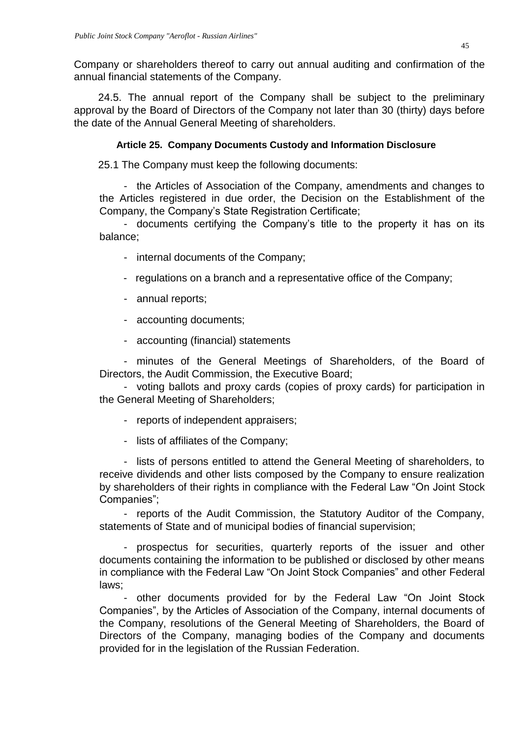Company or shareholders thereof to carry out annual auditing and confirmation of the annual financial statements of the Company.

24.5. The annual report of the Company shall be subject to the preliminary approval by the Board of Directors of the Company not later than 30 (thirty) days before the date of the Annual General Meeting of shareholders.

# **Article 25. Company Documents Custody and Information Disclosure**

<span id="page-44-0"></span>25.1 The Company must keep the following documents:

- the Articles of Association of the Company, amendments and changes to the Articles registered in due order, the Decision on the Establishment of the Company, the Company's State Registration Certificate;

- documents certifying the Company's title to the property it has on its balance;

- internal documents of the Company;
- regulations on a branch and a representative office of the Company;
- annual reports;
- accounting documents;
- accounting (financial) statements

- minutes of the General Meetings of Shareholders, of the Board of Directors, the Audit Commission, the Executive Board;

- voting ballots and proxy cards (copies of proxy cards) for participation in the General Meeting of Shareholders;

- reports of independent appraisers;
- lists of affiliates of the Company;

- lists of persons entitled to attend the General Meeting of shareholders, to receive dividends and other lists composed by the Company to ensure realization by shareholders of their rights in compliance with the Federal Law "On Joint Stock Companies";

- reports of the Audit Commission, the Statutory Auditor of the Company, statements of State and of municipal bodies of financial supervision;

- prospectus for securities, quarterly reports of the issuer and other documents containing the information to be published or disclosed by other means in compliance with the Federal Law "On Joint Stock Companies" and other Federal laws;

- other documents provided for by the Federal Law "On Joint Stock Companies", by the Articles of Association of the Company, internal documents of the Company, resolutions of the General Meeting of Shareholders, the Board of Directors of the Company, managing bodies of the Company and documents provided for in the legislation of the Russian Federation.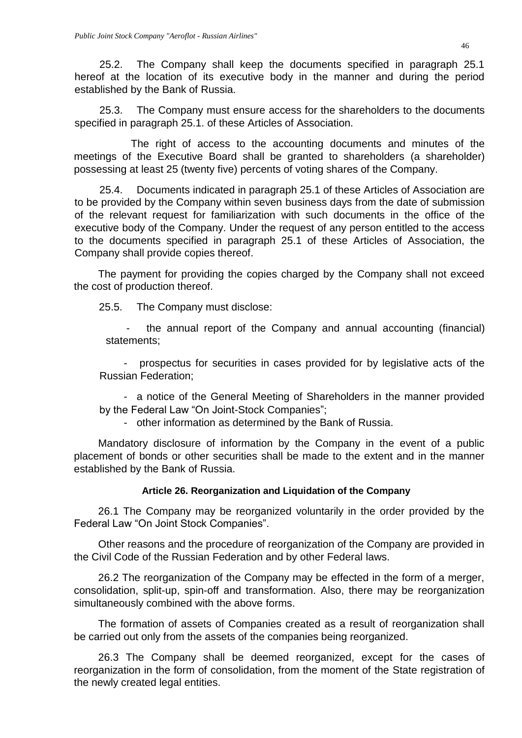25.2. The Company shall keep the documents specified in paragraph 25.1 hereof at the location of its executive body in the manner and during the period established by the Bank of Russia.

25.3. The Company must ensure access for the shareholders to the documents specified in paragraph 25.1. of these Articles of Association.

 The right of access to the accounting documents and minutes of the meetings of the Executive Board shall be granted to shareholders (a shareholder) possessing at least 25 (twenty five) percents of voting shares of the Company.

25.4. Documents indicated in paragraph 25.1 of these Articles of Association are to be provided by the Company within seven business days from the date of submission of the relevant request for familiarization with such documents in the office of the executive body of the Company. Under the request of any person entitled to the access to the documents specified in paragraph 25.1 of these Articles of Association, the Company shall provide copies thereof.

The payment for providing the copies charged by the Company shall not exceed the cost of production thereof.

25.5. The Company must disclose:

the annual report of the Company and annual accounting (financial) statements;

prospectus for securities in cases provided for by legislative acts of the Russian Federation;

- a notice of the General Meeting of Shareholders in the manner provided by the Federal Law "On Joint-Stock Companies";

- other information as determined by the Bank of Russia.

Mandatory disclosure of information by the Company in the event of a public placement of bonds or other securities shall be made to the extent and in the manner established by the Bank of Russia.

# **Article 26. Reorganization and Liquidation of the Company**

<span id="page-45-0"></span>26.1 The Company may be reorganized voluntarily in the order provided by the Federal Law "On Joint Stock Companies".

Other reasons and the procedure of reorganization of the Company are provided in the Civil Code of the Russian Federation and by other Federal laws.

26.2 The reorganization of the Company may be effected in the form of a merger, consolidation, split-up, spin-off and transformation. Also, there may be reorganization simultaneously combined with the above forms.

The formation of assets of Companies created as a result of reorganization shall be carried out only from the assets of the companies being reorganized.

26.3 The Company shall be deemed reorganized, except for the cases of reorganization in the form of consolidation, from the moment of the State registration of the newly created legal entities.